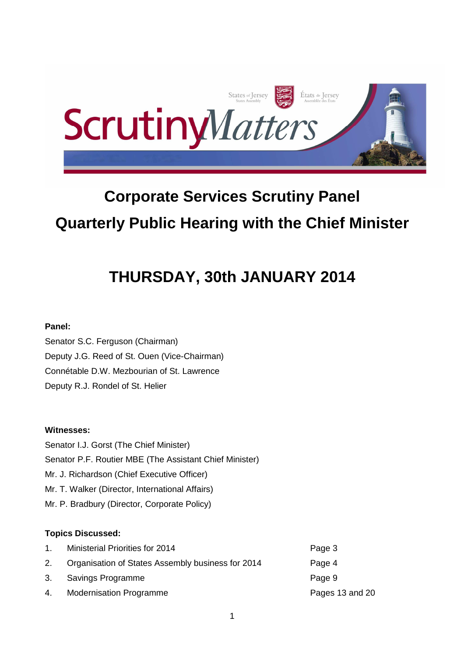

# **Corporate Services Scrutiny Panel Quarterly Public Hearing with the Chief Minister**

# **THURSDAY, 30th JANUARY 2014**

# **Panel:**

Senator S.C. Ferguson (Chairman) Deputy J.G. Reed of St. Ouen (Vice-Chairman) Connétable D.W. Mezbourian of St. Lawrence Deputy R.J. Rondel of St. Helier

# **Witnesses:**

Senator I.J. Gorst (The Chief Minister) Senator P.F. Routier MBE (The Assistant Chief Minister) Mr. J. Richardson (Chief Executive Officer) Mr. T. Walker (Director, International Affairs) Mr. P. Bradbury (Director, Corporate Policy)

# **Topics Discussed:**

|    | <b>Ministerial Priorities for 2014</b>            | Page 3          |
|----|---------------------------------------------------|-----------------|
|    | Organisation of States Assembly business for 2014 | Page 4          |
| 3. | Savings Programme                                 | Page 9          |
| 4. | <b>Modernisation Programme</b>                    | Pages 13 and 20 |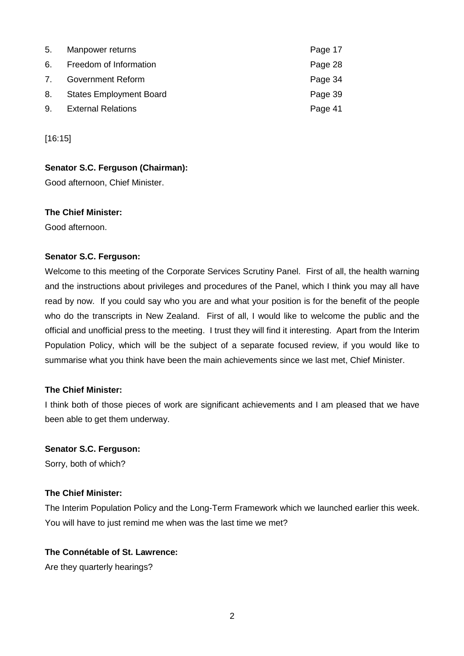| 5. | Manpower returns               | Page 17 |
|----|--------------------------------|---------|
|    | 6. Freedom of Information      | Page 28 |
| 7. | <b>Government Reform</b>       | Page 34 |
| 8. | <b>States Employment Board</b> | Page 39 |
| 9. | <b>External Relations</b>      | Page 41 |

[16:15]

## **Senator S.C. Ferguson (Chairman):**

Good afternoon, Chief Minister.

## **The Chief Minister:**

Good afternoon.

#### **Senator S.C. Ferguson:**

Welcome to this meeting of the Corporate Services Scrutiny Panel. First of all, the health warning and the instructions about privileges and procedures of the Panel, which I think you may all have read by now. If you could say who you are and what your position is for the benefit of the people who do the transcripts in New Zealand. First of all, I would like to welcome the public and the official and unofficial press to the meeting. I trust they will find it interesting. Apart from the Interim Population Policy, which will be the subject of a separate focused review, if you would like to summarise what you think have been the main achievements since we last met, Chief Minister.

## **The Chief Minister:**

I think both of those pieces of work are significant achievements and I am pleased that we have been able to get them underway.

#### **Senator S.C. Ferguson:**

Sorry, both of which?

# **The Chief Minister:**

The Interim Population Policy and the Long-Term Framework which we launched earlier this week. You will have to just remind me when was the last time we met?

# **The Connétable of St. Lawrence:**

Are they quarterly hearings?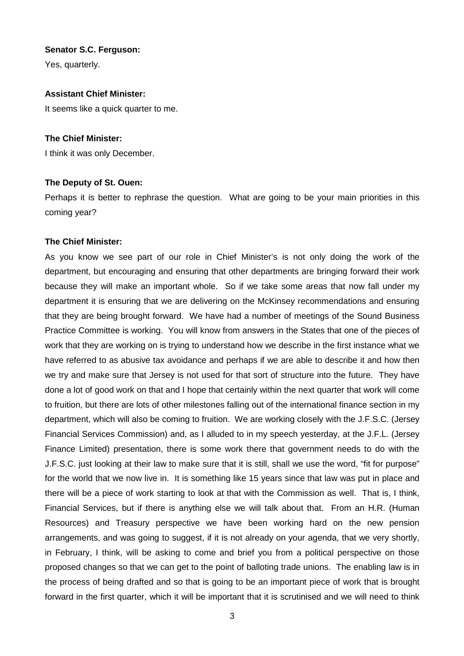Yes, quarterly.

#### **Assistant Chief Minister:**

It seems like a quick quarter to me.

#### **The Chief Minister:**

I think it was only December.

#### **The Deputy of St. Ouen:**

Perhaps it is better to rephrase the question. What are going to be your main priorities in this coming year?

#### **The Chief Minister:**

As you know we see part of our role in Chief Minister's is not only doing the work of the department, but encouraging and ensuring that other departments are bringing forward their work because they will make an important whole. So if we take some areas that now fall under my department it is ensuring that we are delivering on the McKinsey recommendations and ensuring that they are being brought forward. We have had a number of meetings of the Sound Business Practice Committee is working. You will know from answers in the States that one of the pieces of work that they are working on is trying to understand how we describe in the first instance what we have referred to as abusive tax avoidance and perhaps if we are able to describe it and how then we try and make sure that Jersey is not used for that sort of structure into the future. They have done a lot of good work on that and I hope that certainly within the next quarter that work will come to fruition, but there are lots of other milestones falling out of the international finance section in my department, which will also be coming to fruition. We are working closely with the J.F.S.C. (Jersey Financial Services Commission) and, as I alluded to in my speech yesterday, at the J.F.L. (Jersey Finance Limited) presentation, there is some work there that government needs to do with the J.F.S.C. just looking at their law to make sure that it is still, shall we use the word, "fit for purpose" for the world that we now live in. It is something like 15 years since that law was put in place and there will be a piece of work starting to look at that with the Commission as well. That is, I think, Financial Services, but if there is anything else we will talk about that. From an H.R. (Human Resources) and Treasury perspective we have been working hard on the new pension arrangements, and was going to suggest, if it is not already on your agenda, that we very shortly, in February, I think, will be asking to come and brief you from a political perspective on those proposed changes so that we can get to the point of balloting trade unions. The enabling law is in the process of being drafted and so that is going to be an important piece of work that is brought forward in the first quarter, which it will be important that it is scrutinised and we will need to think

3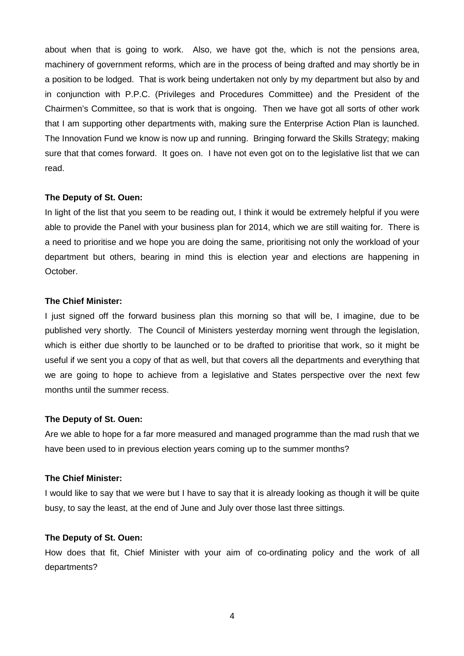about when that is going to work. Also, we have got the, which is not the pensions area, machinery of government reforms, which are in the process of being drafted and may shortly be in a position to be lodged. That is work being undertaken not only by my department but also by and in conjunction with P.P.C. (Privileges and Procedures Committee) and the President of the Chairmen's Committee, so that is work that is ongoing. Then we have got all sorts of other work that I am supporting other departments with, making sure the Enterprise Action Plan is launched. The Innovation Fund we know is now up and running. Bringing forward the Skills Strategy; making sure that that comes forward. It goes on. I have not even got on to the legislative list that we can read.

#### **The Deputy of St. Ouen:**

In light of the list that you seem to be reading out, I think it would be extremely helpful if you were able to provide the Panel with your business plan for 2014, which we are still waiting for. There is a need to prioritise and we hope you are doing the same, prioritising not only the workload of your department but others, bearing in mind this is election year and elections are happening in October.

#### **The Chief Minister:**

I just signed off the forward business plan this morning so that will be, I imagine, due to be published very shortly. The Council of Ministers yesterday morning went through the legislation, which is either due shortly to be launched or to be drafted to prioritise that work, so it might be useful if we sent you a copy of that as well, but that covers all the departments and everything that we are going to hope to achieve from a legislative and States perspective over the next few months until the summer recess.

## **The Deputy of St. Ouen:**

Are we able to hope for a far more measured and managed programme than the mad rush that we have been used to in previous election years coming up to the summer months?

#### **The Chief Minister:**

I would like to say that we were but I have to say that it is already looking as though it will be quite busy, to say the least, at the end of June and July over those last three sittings.

#### **The Deputy of St. Ouen:**

How does that fit, Chief Minister with your aim of co-ordinating policy and the work of all departments?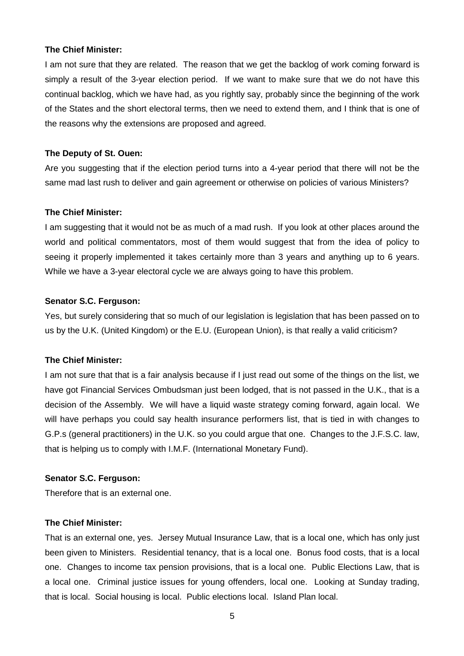I am not sure that they are related. The reason that we get the backlog of work coming forward is simply a result of the 3-year election period. If we want to make sure that we do not have this continual backlog, which we have had, as you rightly say, probably since the beginning of the work of the States and the short electoral terms, then we need to extend them, and I think that is one of the reasons why the extensions are proposed and agreed.

#### **The Deputy of St. Ouen:**

Are you suggesting that if the election period turns into a 4-year period that there will not be the same mad last rush to deliver and gain agreement or otherwise on policies of various Ministers?

#### **The Chief Minister:**

I am suggesting that it would not be as much of a mad rush. If you look at other places around the world and political commentators, most of them would suggest that from the idea of policy to seeing it properly implemented it takes certainly more than 3 years and anything up to 6 years. While we have a 3-year electoral cycle we are always going to have this problem.

#### **Senator S.C. Ferguson:**

Yes, but surely considering that so much of our legislation is legislation that has been passed on to us by the U.K. (United Kingdom) or the E.U. (European Union), is that really a valid criticism?

#### **The Chief Minister:**

I am not sure that that is a fair analysis because if I just read out some of the things on the list, we have got Financial Services Ombudsman just been lodged, that is not passed in the U.K., that is a decision of the Assembly. We will have a liquid waste strategy coming forward, again local. We will have perhaps you could say health insurance performers list, that is tied in with changes to G.P.s (general practitioners) in the U.K. so you could argue that one. Changes to the J.F.S.C. law, that is helping us to comply with I.M.F. (International Monetary Fund).

#### **Senator S.C. Ferguson:**

Therefore that is an external one.

#### **The Chief Minister:**

That is an external one, yes. Jersey Mutual Insurance Law, that is a local one, which has only just been given to Ministers. Residential tenancy, that is a local one. Bonus food costs, that is a local one. Changes to income tax pension provisions, that is a local one. Public Elections Law, that is a local one. Criminal justice issues for young offenders, local one. Looking at Sunday trading, that is local. Social housing is local. Public elections local. Island Plan local.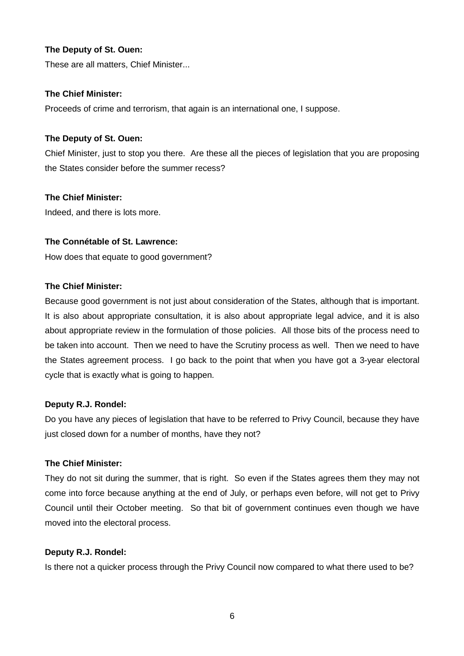# **The Deputy of St. Ouen:**

These are all matters, Chief Minister...

## **The Chief Minister:**

Proceeds of crime and terrorism, that again is an international one, I suppose.

## **The Deputy of St. Ouen:**

Chief Minister, just to stop you there. Are these all the pieces of legislation that you are proposing the States consider before the summer recess?

# **The Chief Minister:**

Indeed, and there is lots more.

# **The Connétable of St. Lawrence:**

How does that equate to good government?

## **The Chief Minister:**

Because good government is not just about consideration of the States, although that is important. It is also about appropriate consultation, it is also about appropriate legal advice, and it is also about appropriate review in the formulation of those policies. All those bits of the process need to be taken into account. Then we need to have the Scrutiny process as well. Then we need to have the States agreement process. I go back to the point that when you have got a 3-year electoral cycle that is exactly what is going to happen.

## **Deputy R.J. Rondel:**

Do you have any pieces of legislation that have to be referred to Privy Council, because they have just closed down for a number of months, have they not?

## **The Chief Minister:**

They do not sit during the summer, that is right. So even if the States agrees them they may not come into force because anything at the end of July, or perhaps even before, will not get to Privy Council until their October meeting. So that bit of government continues even though we have moved into the electoral process.

## **Deputy R.J. Rondel:**

Is there not a quicker process through the Privy Council now compared to what there used to be?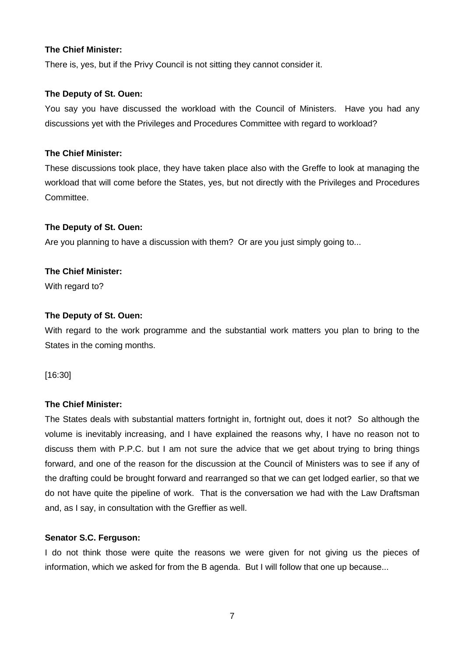There is, yes, but if the Privy Council is not sitting they cannot consider it.

#### **The Deputy of St. Ouen:**

You say you have discussed the workload with the Council of Ministers. Have you had any discussions yet with the Privileges and Procedures Committee with regard to workload?

#### **The Chief Minister:**

These discussions took place, they have taken place also with the Greffe to look at managing the workload that will come before the States, yes, but not directly with the Privileges and Procedures Committee.

#### **The Deputy of St. Ouen:**

Are you planning to have a discussion with them? Or are you just simply going to...

## **The Chief Minister:**

With regard to?

#### **The Deputy of St. Ouen:**

With regard to the work programme and the substantial work matters you plan to bring to the States in the coming months.

[16:30]

## **The Chief Minister:**

The States deals with substantial matters fortnight in, fortnight out, does it not? So although the volume is inevitably increasing, and I have explained the reasons why, I have no reason not to discuss them with P.P.C. but I am not sure the advice that we get about trying to bring things forward, and one of the reason for the discussion at the Council of Ministers was to see if any of the drafting could be brought forward and rearranged so that we can get lodged earlier, so that we do not have quite the pipeline of work. That is the conversation we had with the Law Draftsman and, as I say, in consultation with the Greffier as well.

#### **Senator S.C. Ferguson:**

I do not think those were quite the reasons we were given for not giving us the pieces of information, which we asked for from the B agenda. But I will follow that one up because...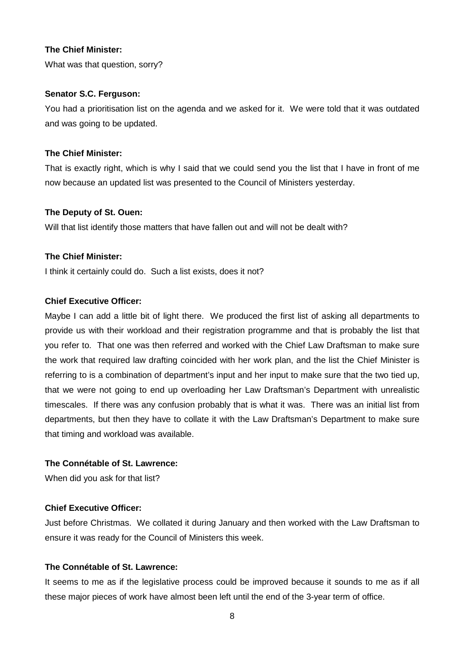What was that question, sorry?

#### **Senator S.C. Ferguson:**

You had a prioritisation list on the agenda and we asked for it. We were told that it was outdated and was going to be updated.

# **The Chief Minister:**

That is exactly right, which is why I said that we could send you the list that I have in front of me now because an updated list was presented to the Council of Ministers yesterday.

#### **The Deputy of St. Ouen:**

Will that list identify those matters that have fallen out and will not be dealt with?

#### **The Chief Minister:**

I think it certainly could do. Such a list exists, does it not?

#### **Chief Executive Officer:**

Maybe I can add a little bit of light there. We produced the first list of asking all departments to provide us with their workload and their registration programme and that is probably the list that you refer to. That one was then referred and worked with the Chief Law Draftsman to make sure the work that required law drafting coincided with her work plan, and the list the Chief Minister is referring to is a combination of department's input and her input to make sure that the two tied up, that we were not going to end up overloading her Law Draftsman's Department with unrealistic timescales. If there was any confusion probably that is what it was. There was an initial list from departments, but then they have to collate it with the Law Draftsman's Department to make sure that timing and workload was available.

#### **The Connétable of St. Lawrence:**

When did you ask for that list?

## **Chief Executive Officer:**

Just before Christmas. We collated it during January and then worked with the Law Draftsman to ensure it was ready for the Council of Ministers this week.

#### **The Connétable of St. Lawrence:**

It seems to me as if the legislative process could be improved because it sounds to me as if all these major pieces of work have almost been left until the end of the 3-year term of office.

8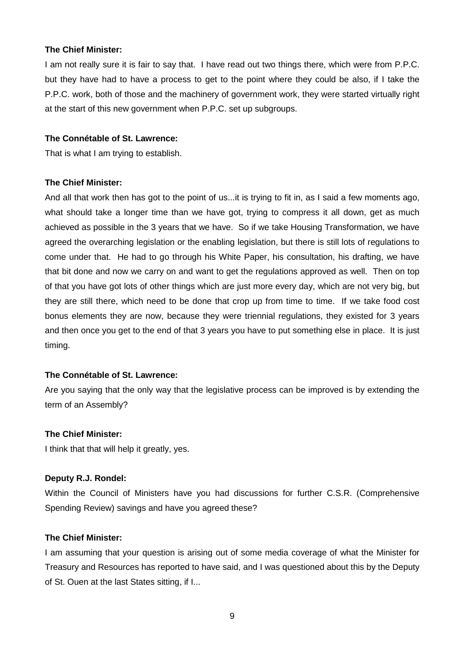I am not really sure it is fair to say that. I have read out two things there, which were from P.P.C. but they have had to have a process to get to the point where they could be also, if I take the P.P.C. work, both of those and the machinery of government work, they were started virtually right at the start of this new government when P.P.C. set up subgroups.

#### **The Connétable of St. Lawrence:**

That is what I am trying to establish.

#### **The Chief Minister:**

And all that work then has got to the point of us...it is trying to fit in, as I said a few moments ago, what should take a longer time than we have got, trying to compress it all down, get as much achieved as possible in the 3 years that we have. So if we take Housing Transformation, we have agreed the overarching legislation or the enabling legislation, but there is still lots of regulations to come under that. He had to go through his White Paper, his consultation, his drafting, we have that bit done and now we carry on and want to get the regulations approved as well. Then on top of that you have got lots of other things which are just more every day, which are not very big, but they are still there, which need to be done that crop up from time to time. If we take food cost bonus elements they are now, because they were triennial regulations, they existed for 3 years and then once you get to the end of that 3 years you have to put something else in place. It is just timing.

## **The Connétable of St. Lawrence:**

Are you saying that the only way that the legislative process can be improved is by extending the term of an Assembly?

#### **The Chief Minister:**

I think that that will help it greatly, yes.

#### **Deputy R.J. Rondel:**

Within the Council of Ministers have you had discussions for further C.S.R. (Comprehensive Spending Review) savings and have you agreed these?

## **The Chief Minister:**

I am assuming that your question is arising out of some media coverage of what the Minister for Treasury and Resources has reported to have said, and I was questioned about this by the Deputy of St. Ouen at the last States sitting, if I...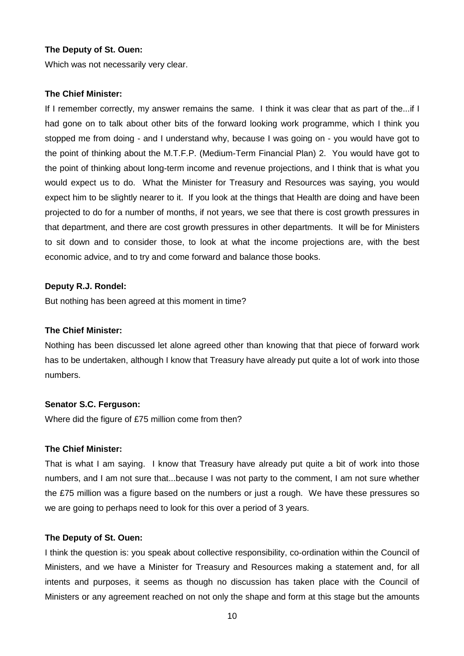#### **The Deputy of St. Ouen:**

Which was not necessarily very clear.

#### **The Chief Minister:**

If I remember correctly, my answer remains the same. I think it was clear that as part of the...if I had gone on to talk about other bits of the forward looking work programme, which I think you stopped me from doing - and I understand why, because I was going on - you would have got to the point of thinking about the M.T.F.P. (Medium-Term Financial Plan) 2. You would have got to the point of thinking about long-term income and revenue projections, and I think that is what you would expect us to do. What the Minister for Treasury and Resources was saying, you would expect him to be slightly nearer to it. If you look at the things that Health are doing and have been projected to do for a number of months, if not years, we see that there is cost growth pressures in that department, and there are cost growth pressures in other departments. It will be for Ministers to sit down and to consider those, to look at what the income projections are, with the best economic advice, and to try and come forward and balance those books.

#### **Deputy R.J. Rondel:**

But nothing has been agreed at this moment in time?

#### **The Chief Minister:**

Nothing has been discussed let alone agreed other than knowing that that piece of forward work has to be undertaken, although I know that Treasury have already put quite a lot of work into those numbers.

#### **Senator S.C. Ferguson:**

Where did the figure of £75 million come from then?

#### **The Chief Minister:**

That is what I am saying. I know that Treasury have already put quite a bit of work into those numbers, and I am not sure that...because I was not party to the comment, I am not sure whether the £75 million was a figure based on the numbers or just a rough. We have these pressures so we are going to perhaps need to look for this over a period of 3 years.

#### **The Deputy of St. Ouen:**

I think the question is: you speak about collective responsibility, co-ordination within the Council of Ministers, and we have a Minister for Treasury and Resources making a statement and, for all intents and purposes, it seems as though no discussion has taken place with the Council of Ministers or any agreement reached on not only the shape and form at this stage but the amounts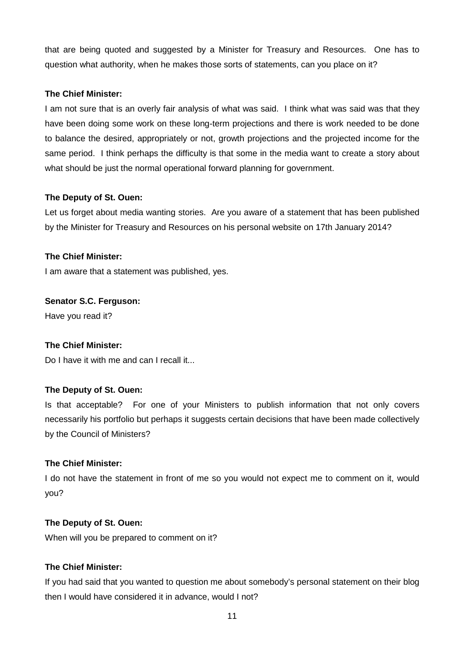that are being quoted and suggested by a Minister for Treasury and Resources. One has to question what authority, when he makes those sorts of statements, can you place on it?

# **The Chief Minister:**

I am not sure that is an overly fair analysis of what was said. I think what was said was that they have been doing some work on these long-term projections and there is work needed to be done to balance the desired, appropriately or not, growth projections and the projected income for the same period. I think perhaps the difficulty is that some in the media want to create a story about what should be just the normal operational forward planning for government.

# **The Deputy of St. Ouen:**

Let us forget about media wanting stories. Are you aware of a statement that has been published by the Minister for Treasury and Resources on his personal website on 17th January 2014?

# **The Chief Minister:**

I am aware that a statement was published, yes.

# **Senator S.C. Ferguson:**

Have you read it?

## **The Chief Minister:**

Do I have it with me and can I recall it...

## **The Deputy of St. Ouen:**

Is that acceptable? For one of your Ministers to publish information that not only covers necessarily his portfolio but perhaps it suggests certain decisions that have been made collectively by the Council of Ministers?

## **The Chief Minister:**

I do not have the statement in front of me so you would not expect me to comment on it, would you?

## **The Deputy of St. Ouen:**

When will you be prepared to comment on it?

# **The Chief Minister:**

If you had said that you wanted to question me about somebody's personal statement on their blog then I would have considered it in advance, would I not?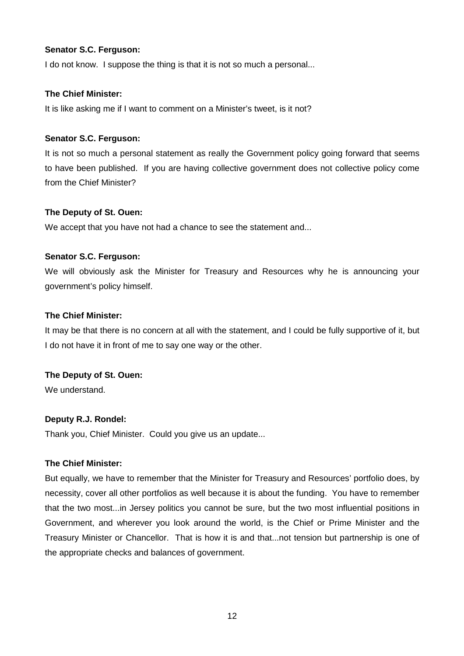I do not know. I suppose the thing is that it is not so much a personal...

# **The Chief Minister:**

It is like asking me if I want to comment on a Minister's tweet, is it not?

# **Senator S.C. Ferguson:**

It is not so much a personal statement as really the Government policy going forward that seems to have been published. If you are having collective government does not collective policy come from the Chief Minister?

# **The Deputy of St. Ouen:**

We accept that you have not had a chance to see the statement and...

# **Senator S.C. Ferguson:**

We will obviously ask the Minister for Treasury and Resources why he is announcing your government's policy himself.

# **The Chief Minister:**

It may be that there is no concern at all with the statement, and I could be fully supportive of it, but I do not have it in front of me to say one way or the other.

# **The Deputy of St. Ouen:**

We understand.

# **Deputy R.J. Rondel:**

Thank you, Chief Minister. Could you give us an update...

## **The Chief Minister:**

But equally, we have to remember that the Minister for Treasury and Resources' portfolio does, by necessity, cover all other portfolios as well because it is about the funding. You have to remember that the two most...in Jersey politics you cannot be sure, but the two most influential positions in Government, and wherever you look around the world, is the Chief or Prime Minister and the Treasury Minister or Chancellor. That is how it is and that...not tension but partnership is one of the appropriate checks and balances of government.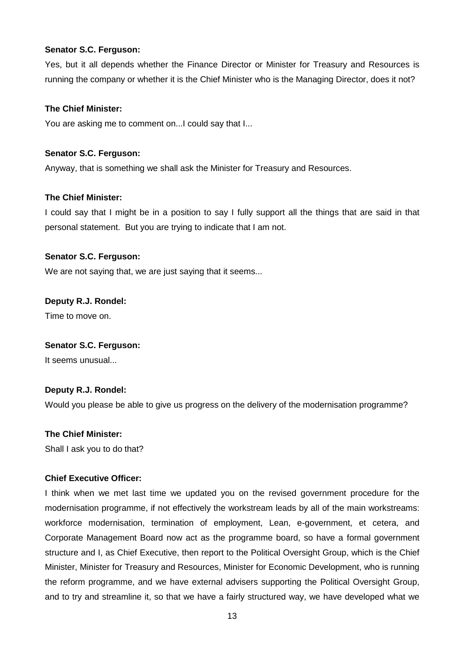Yes, but it all depends whether the Finance Director or Minister for Treasury and Resources is running the company or whether it is the Chief Minister who is the Managing Director, does it not?

#### **The Chief Minister:**

You are asking me to comment on...I could say that I...

#### **Senator S.C. Ferguson:**

Anyway, that is something we shall ask the Minister for Treasury and Resources.

#### **The Chief Minister:**

I could say that I might be in a position to say I fully support all the things that are said in that personal statement. But you are trying to indicate that I am not.

#### **Senator S.C. Ferguson:**

We are not saying that, we are just saying that it seems...

#### **Deputy R.J. Rondel:**

Time to move on.

#### **Senator S.C. Ferguson:**

It seems unusual...

## **Deputy R.J. Rondel:**

Would you please be able to give us progress on the delivery of the modernisation programme?

#### **The Chief Minister:**

Shall I ask you to do that?

## **Chief Executive Officer:**

I think when we met last time we updated you on the revised government procedure for the modernisation programme, if not effectively the workstream leads by all of the main workstreams: workforce modernisation, termination of employment, Lean, e-government, et cetera, and Corporate Management Board now act as the programme board, so have a formal government structure and I, as Chief Executive, then report to the Political Oversight Group, which is the Chief Minister, Minister for Treasury and Resources, Minister for Economic Development, who is running the reform programme, and we have external advisers supporting the Political Oversight Group, and to try and streamline it, so that we have a fairly structured way, we have developed what we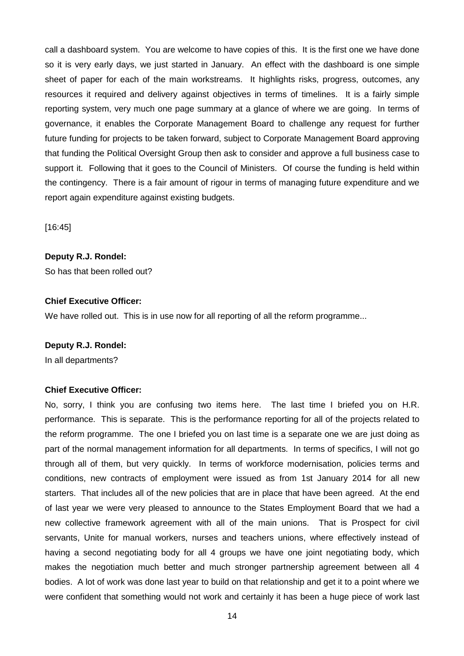call a dashboard system. You are welcome to have copies of this. It is the first one we have done so it is very early days, we just started in January. An effect with the dashboard is one simple sheet of paper for each of the main workstreams. It highlights risks, progress, outcomes, any resources it required and delivery against objectives in terms of timelines. It is a fairly simple reporting system, very much one page summary at a glance of where we are going. In terms of governance, it enables the Corporate Management Board to challenge any request for further future funding for projects to be taken forward, subject to Corporate Management Board approving that funding the Political Oversight Group then ask to consider and approve a full business case to support it. Following that it goes to the Council of Ministers. Of course the funding is held within the contingency. There is a fair amount of rigour in terms of managing future expenditure and we report again expenditure against existing budgets.

[16:45]

# **Deputy R.J. Rondel:**

So has that been rolled out?

## **Chief Executive Officer:**

We have rolled out. This is in use now for all reporting of all the reform programme...

## **Deputy R.J. Rondel:**

In all departments?

## **Chief Executive Officer:**

No, sorry, I think you are confusing two items here. The last time I briefed you on H.R. performance. This is separate. This is the performance reporting for all of the projects related to the reform programme. The one I briefed you on last time is a separate one we are just doing as part of the normal management information for all departments. In terms of specifics, I will not go through all of them, but very quickly. In terms of workforce modernisation, policies terms and conditions, new contracts of employment were issued as from 1st January 2014 for all new starters. That includes all of the new policies that are in place that have been agreed. At the end of last year we were very pleased to announce to the States Employment Board that we had a new collective framework agreement with all of the main unions. That is Prospect for civil servants, Unite for manual workers, nurses and teachers unions, where effectively instead of having a second negotiating body for all 4 groups we have one joint negotiating body, which makes the negotiation much better and much stronger partnership agreement between all 4 bodies. A lot of work was done last year to build on that relationship and get it to a point where we were confident that something would not work and certainly it has been a huge piece of work last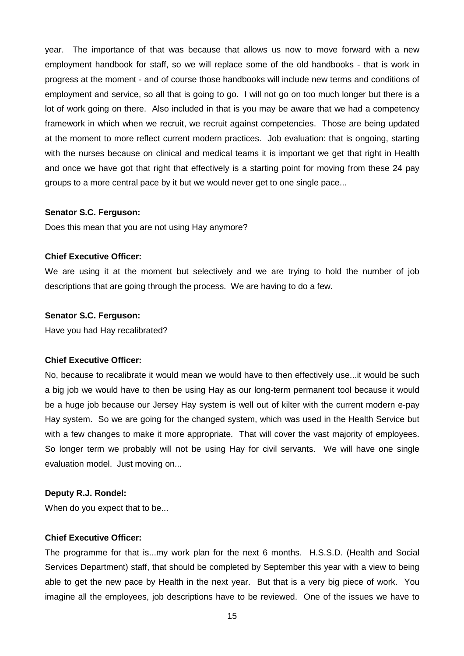year. The importance of that was because that allows us now to move forward with a new employment handbook for staff, so we will replace some of the old handbooks - that is work in progress at the moment - and of course those handbooks will include new terms and conditions of employment and service, so all that is going to go. I will not go on too much longer but there is a lot of work going on there. Also included in that is you may be aware that we had a competency framework in which when we recruit, we recruit against competencies. Those are being updated at the moment to more reflect current modern practices. Job evaluation: that is ongoing, starting with the nurses because on clinical and medical teams it is important we get that right in Health and once we have got that right that effectively is a starting point for moving from these 24 pay groups to a more central pace by it but we would never get to one single pace...

#### **Senator S.C. Ferguson:**

Does this mean that you are not using Hay anymore?

#### **Chief Executive Officer:**

We are using it at the moment but selectively and we are trying to hold the number of job descriptions that are going through the process. We are having to do a few.

#### **Senator S.C. Ferguson:**

Have you had Hay recalibrated?

#### **Chief Executive Officer:**

No, because to recalibrate it would mean we would have to then effectively use...it would be such a big job we would have to then be using Hay as our long-term permanent tool because it would be a huge job because our Jersey Hay system is well out of kilter with the current modern e-pay Hay system. So we are going for the changed system, which was used in the Health Service but with a few changes to make it more appropriate. That will cover the vast majority of employees. So longer term we probably will not be using Hay for civil servants. We will have one single evaluation model. Just moving on...

#### **Deputy R.J. Rondel:**

When do you expect that to be...

#### **Chief Executive Officer:**

The programme for that is...my work plan for the next 6 months. H.S.S.D. (Health and Social Services Department) staff, that should be completed by September this year with a view to being able to get the new pace by Health in the next year. But that is a very big piece of work. You imagine all the employees, job descriptions have to be reviewed. One of the issues we have to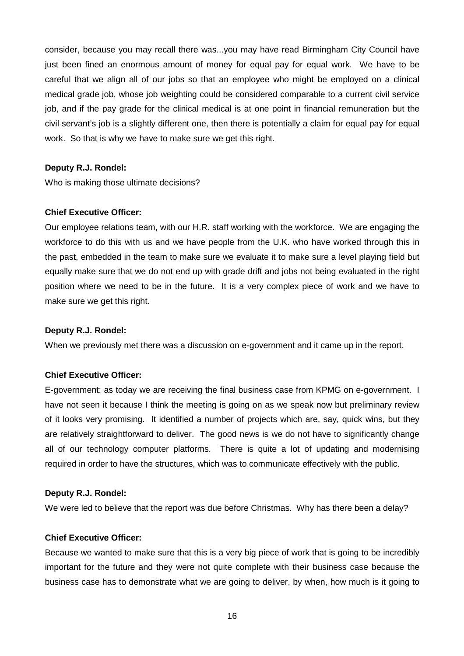consider, because you may recall there was...you may have read Birmingham City Council have just been fined an enormous amount of money for equal pay for equal work. We have to be careful that we align all of our jobs so that an employee who might be employed on a clinical medical grade job, whose job weighting could be considered comparable to a current civil service job, and if the pay grade for the clinical medical is at one point in financial remuneration but the civil servant's job is a slightly different one, then there is potentially a claim for equal pay for equal work. So that is why we have to make sure we get this right.

#### **Deputy R.J. Rondel:**

Who is making those ultimate decisions?

#### **Chief Executive Officer:**

Our employee relations team, with our H.R. staff working with the workforce. We are engaging the workforce to do this with us and we have people from the U.K. who have worked through this in the past, embedded in the team to make sure we evaluate it to make sure a level playing field but equally make sure that we do not end up with grade drift and jobs not being evaluated in the right position where we need to be in the future. It is a very complex piece of work and we have to make sure we get this right.

#### **Deputy R.J. Rondel:**

When we previously met there was a discussion on e-government and it came up in the report.

#### **Chief Executive Officer:**

E-government: as today we are receiving the final business case from KPMG on e-government. I have not seen it because I think the meeting is going on as we speak now but preliminary review of it looks very promising. It identified a number of projects which are, say, quick wins, but they are relatively straightforward to deliver. The good news is we do not have to significantly change all of our technology computer platforms. There is quite a lot of updating and modernising required in order to have the structures, which was to communicate effectively with the public.

#### **Deputy R.J. Rondel:**

We were led to believe that the report was due before Christmas. Why has there been a delay?

#### **Chief Executive Officer:**

Because we wanted to make sure that this is a very big piece of work that is going to be incredibly important for the future and they were not quite complete with their business case because the business case has to demonstrate what we are going to deliver, by when, how much is it going to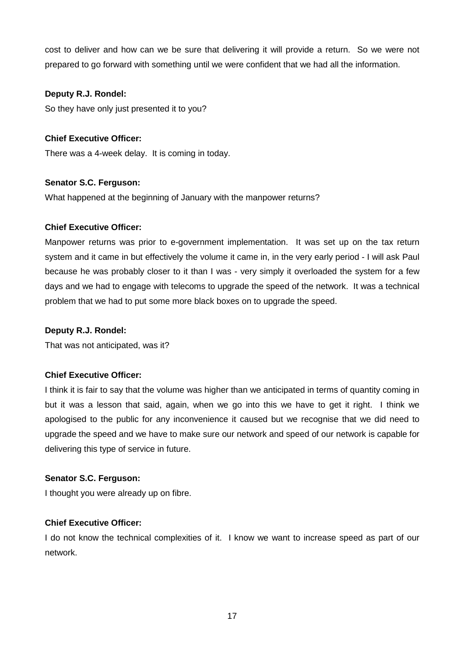cost to deliver and how can we be sure that delivering it will provide a return. So we were not prepared to go forward with something until we were confident that we had all the information.

# **Deputy R.J. Rondel:**

So they have only just presented it to you?

# **Chief Executive Officer:**

There was a 4-week delay. It is coming in today.

## **Senator S.C. Ferguson:**

What happened at the beginning of January with the manpower returns?

## **Chief Executive Officer:**

Manpower returns was prior to e-government implementation. It was set up on the tax return system and it came in but effectively the volume it came in, in the very early period - I will ask Paul because he was probably closer to it than I was - very simply it overloaded the system for a few days and we had to engage with telecoms to upgrade the speed of the network. It was a technical problem that we had to put some more black boxes on to upgrade the speed.

## **Deputy R.J. Rondel:**

That was not anticipated, was it?

## **Chief Executive Officer:**

I think it is fair to say that the volume was higher than we anticipated in terms of quantity coming in but it was a lesson that said, again, when we go into this we have to get it right. I think we apologised to the public for any inconvenience it caused but we recognise that we did need to upgrade the speed and we have to make sure our network and speed of our network is capable for delivering this type of service in future.

## **Senator S.C. Ferguson:**

I thought you were already up on fibre.

## **Chief Executive Officer:**

I do not know the technical complexities of it. I know we want to increase speed as part of our network.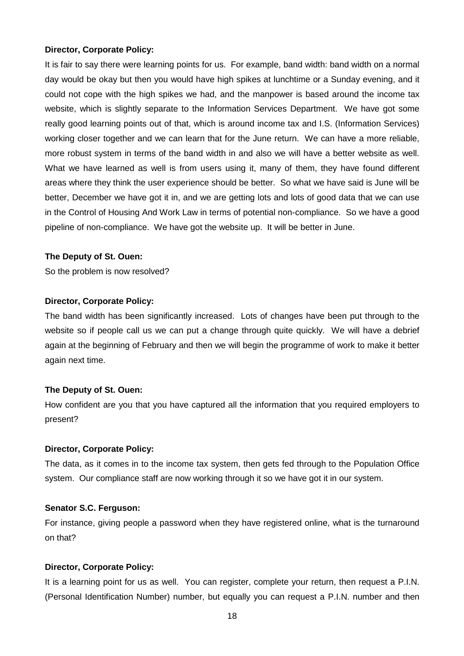#### **Director, Corporate Policy:**

It is fair to say there were learning points for us. For example, band width: band width on a normal day would be okay but then you would have high spikes at lunchtime or a Sunday evening, and it could not cope with the high spikes we had, and the manpower is based around the income tax website, which is slightly separate to the Information Services Department. We have got some really good learning points out of that, which is around income tax and I.S. (Information Services) working closer together and we can learn that for the June return. We can have a more reliable, more robust system in terms of the band width in and also we will have a better website as well. What we have learned as well is from users using it, many of them, they have found different areas where they think the user experience should be better. So what we have said is June will be better, December we have got it in, and we are getting lots and lots of good data that we can use in the Control of Housing And Work Law in terms of potential non-compliance. So we have a good pipeline of non-compliance. We have got the website up. It will be better in June.

#### **The Deputy of St. Ouen:**

So the problem is now resolved?

#### **Director, Corporate Policy:**

The band width has been significantly increased. Lots of changes have been put through to the website so if people call us we can put a change through quite quickly. We will have a debrief again at the beginning of February and then we will begin the programme of work to make it better again next time.

## **The Deputy of St. Ouen:**

How confident are you that you have captured all the information that you required employers to present?

#### **Director, Corporate Policy:**

The data, as it comes in to the income tax system, then gets fed through to the Population Office system. Our compliance staff are now working through it so we have got it in our system.

## **Senator S.C. Ferguson:**

For instance, giving people a password when they have registered online, what is the turnaround on that?

#### **Director, Corporate Policy:**

It is a learning point for us as well. You can register, complete your return, then request a P.I.N. (Personal Identification Number) number, but equally you can request a P.I.N. number and then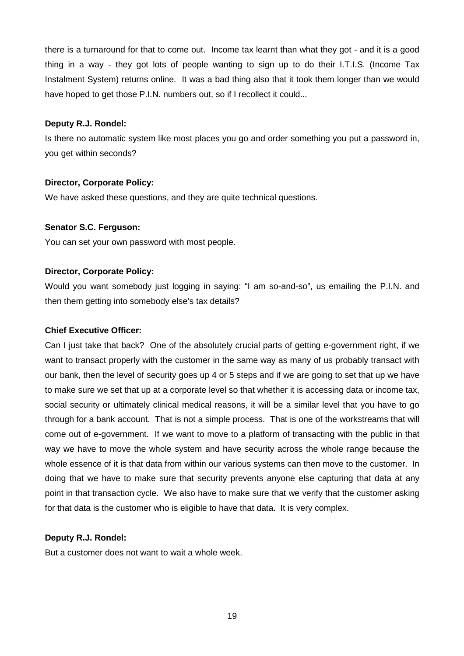there is a turnaround for that to come out. Income tax learnt than what they got - and it is a good thing in a way - they got lots of people wanting to sign up to do their I.T.I.S. (Income Tax Instalment System) returns online. It was a bad thing also that it took them longer than we would have hoped to get those P.I.N. numbers out, so if I recollect it could...

#### **Deputy R.J. Rondel:**

Is there no automatic system like most places you go and order something you put a password in, you get within seconds?

## **Director, Corporate Policy:**

We have asked these questions, and they are quite technical questions.

## **Senator S.C. Ferguson:**

You can set your own password with most people.

# **Director, Corporate Policy:**

Would you want somebody just logging in saying: "I am so-and-so", us emailing the P.I.N. and then them getting into somebody else's tax details?

## **Chief Executive Officer:**

Can I just take that back? One of the absolutely crucial parts of getting e-government right, if we want to transact properly with the customer in the same way as many of us probably transact with our bank, then the level of security goes up 4 or 5 steps and if we are going to set that up we have to make sure we set that up at a corporate level so that whether it is accessing data or income tax, social security or ultimately clinical medical reasons, it will be a similar level that you have to go through for a bank account. That is not a simple process. That is one of the workstreams that will come out of e-government. If we want to move to a platform of transacting with the public in that way we have to move the whole system and have security across the whole range because the whole essence of it is that data from within our various systems can then move to the customer. In doing that we have to make sure that security prevents anyone else capturing that data at any point in that transaction cycle. We also have to make sure that we verify that the customer asking for that data is the customer who is eligible to have that data. It is very complex.

## **Deputy R.J. Rondel:**

But a customer does not want to wait a whole week.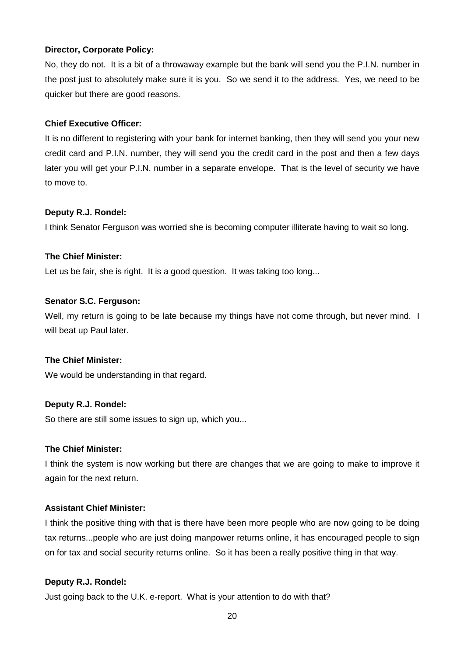## **Director, Corporate Policy:**

No, they do not. It is a bit of a throwaway example but the bank will send you the P.I.N. number in the post just to absolutely make sure it is you. So we send it to the address. Yes, we need to be quicker but there are good reasons.

# **Chief Executive Officer:**

It is no different to registering with your bank for internet banking, then they will send you your new credit card and P.I.N. number, they will send you the credit card in the post and then a few days later you will get your P.I.N. number in a separate envelope. That is the level of security we have to move to.

#### **Deputy R.J. Rondel:**

I think Senator Ferguson was worried she is becoming computer illiterate having to wait so long.

#### **The Chief Minister:**

Let us be fair, she is right. It is a good question. It was taking too long...

#### **Senator S.C. Ferguson:**

Well, my return is going to be late because my things have not come through, but never mind. I will beat up Paul later.

## **The Chief Minister:**

We would be understanding in that regard.

## **Deputy R.J. Rondel:**

So there are still some issues to sign up, which you...

## **The Chief Minister:**

I think the system is now working but there are changes that we are going to make to improve it again for the next return.

# **Assistant Chief Minister:**

I think the positive thing with that is there have been more people who are now going to be doing tax returns...people who are just doing manpower returns online, it has encouraged people to sign on for tax and social security returns online. So it has been a really positive thing in that way.

## **Deputy R.J. Rondel:**

Just going back to the U.K. e-report. What is your attention to do with that?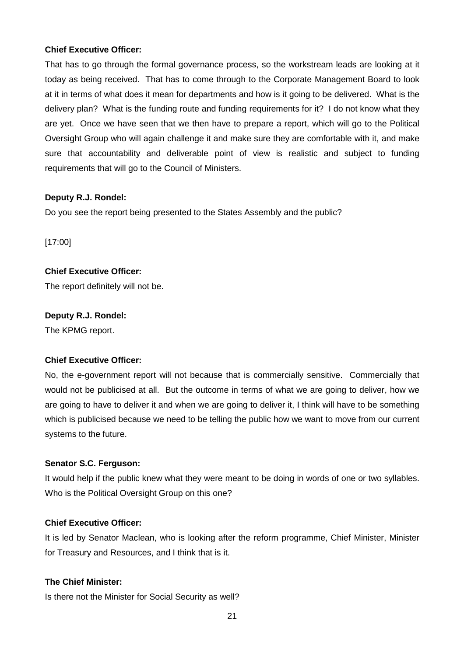## **Chief Executive Officer:**

That has to go through the formal governance process, so the workstream leads are looking at it today as being received. That has to come through to the Corporate Management Board to look at it in terms of what does it mean for departments and how is it going to be delivered. What is the delivery plan? What is the funding route and funding requirements for it? I do not know what they are yet. Once we have seen that we then have to prepare a report, which will go to the Political Oversight Group who will again challenge it and make sure they are comfortable with it, and make sure that accountability and deliverable point of view is realistic and subject to funding requirements that will go to the Council of Ministers.

# **Deputy R.J. Rondel:**

Do you see the report being presented to the States Assembly and the public?

[17:00]

# **Chief Executive Officer:**

The report definitely will not be.

# **Deputy R.J. Rondel:**

The KPMG report.

# **Chief Executive Officer:**

No, the e-government report will not because that is commercially sensitive. Commercially that would not be publicised at all. But the outcome in terms of what we are going to deliver, how we are going to have to deliver it and when we are going to deliver it, I think will have to be something which is publicised because we need to be telling the public how we want to move from our current systems to the future.

# **Senator S.C. Ferguson:**

It would help if the public knew what they were meant to be doing in words of one or two syllables. Who is the Political Oversight Group on this one?

# **Chief Executive Officer:**

It is led by Senator Maclean, who is looking after the reform programme, Chief Minister, Minister for Treasury and Resources, and I think that is it.

# **The Chief Minister:**

Is there not the Minister for Social Security as well?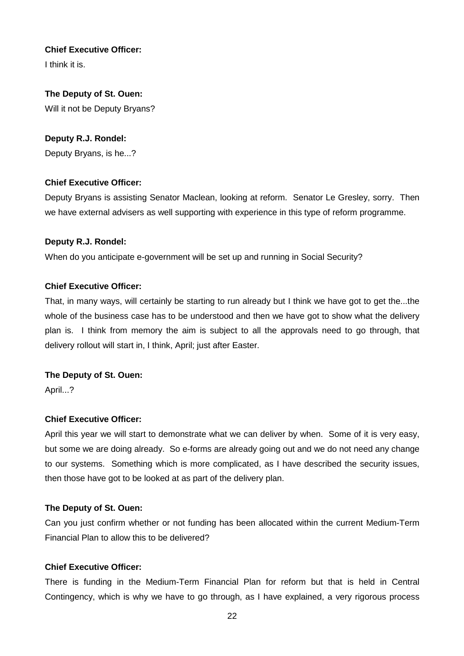# **Chief Executive Officer:**

I think it is.

# **The Deputy of St. Ouen:** Will it not be Deputy Bryans?

# **Deputy R.J. Rondel:**

Deputy Bryans, is he...?

# **Chief Executive Officer:**

Deputy Bryans is assisting Senator Maclean, looking at reform. Senator Le Gresley, sorry. Then we have external advisers as well supporting with experience in this type of reform programme.

# **Deputy R.J. Rondel:**

When do you anticipate e-government will be set up and running in Social Security?

# **Chief Executive Officer:**

That, in many ways, will certainly be starting to run already but I think we have got to get the...the whole of the business case has to be understood and then we have got to show what the delivery plan is. I think from memory the aim is subject to all the approvals need to go through, that delivery rollout will start in, I think, April; just after Easter.

# **The Deputy of St. Ouen:**

April...?

# **Chief Executive Officer:**

April this year we will start to demonstrate what we can deliver by when. Some of it is very easy, but some we are doing already. So e-forms are already going out and we do not need any change to our systems. Something which is more complicated, as I have described the security issues, then those have got to be looked at as part of the delivery plan.

## **The Deputy of St. Ouen:**

Can you just confirm whether or not funding has been allocated within the current Medium-Term Financial Plan to allow this to be delivered?

## **Chief Executive Officer:**

There is funding in the Medium-Term Financial Plan for reform but that is held in Central Contingency, which is why we have to go through, as I have explained, a very rigorous process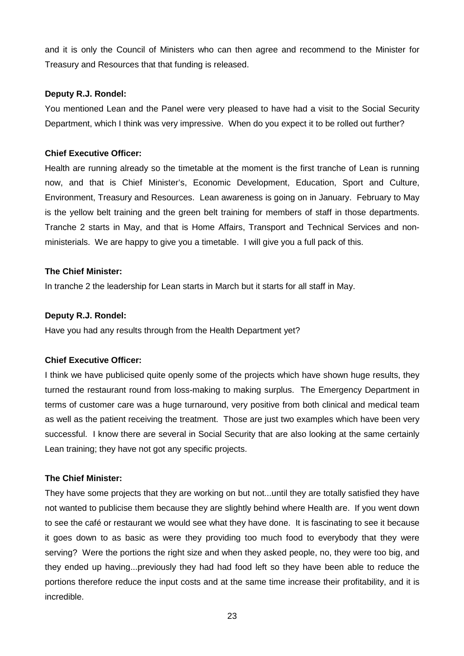and it is only the Council of Ministers who can then agree and recommend to the Minister for Treasury and Resources that that funding is released.

## **Deputy R.J. Rondel:**

You mentioned Lean and the Panel were very pleased to have had a visit to the Social Security Department, which I think was very impressive. When do you expect it to be rolled out further?

# **Chief Executive Officer:**

Health are running already so the timetable at the moment is the first tranche of Lean is running now, and that is Chief Minister's, Economic Development, Education, Sport and Culture, Environment, Treasury and Resources. Lean awareness is going on in January. February to May is the yellow belt training and the green belt training for members of staff in those departments. Tranche 2 starts in May, and that is Home Affairs, Transport and Technical Services and nonministerials. We are happy to give you a timetable. I will give you a full pack of this.

# **The Chief Minister:**

In tranche 2 the leadership for Lean starts in March but it starts for all staff in May.

## **Deputy R.J. Rondel:**

Have you had any results through from the Health Department yet?

# **Chief Executive Officer:**

I think we have publicised quite openly some of the projects which have shown huge results, they turned the restaurant round from loss-making to making surplus. The Emergency Department in terms of customer care was a huge turnaround, very positive from both clinical and medical team as well as the patient receiving the treatment. Those are just two examples which have been very successful. I know there are several in Social Security that are also looking at the same certainly Lean training; they have not got any specific projects.

# **The Chief Minister:**

They have some projects that they are working on but not...until they are totally satisfied they have not wanted to publicise them because they are slightly behind where Health are. If you went down to see the café or restaurant we would see what they have done. It is fascinating to see it because it goes down to as basic as were they providing too much food to everybody that they were serving? Were the portions the right size and when they asked people, no, they were too big, and they ended up having...previously they had had food left so they have been able to reduce the portions therefore reduce the input costs and at the same time increase their profitability, and it is incredible.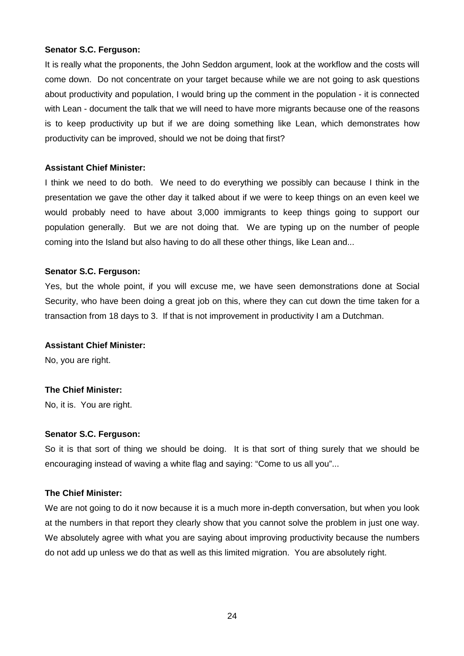It is really what the proponents, the John Seddon argument, look at the workflow and the costs will come down. Do not concentrate on your target because while we are not going to ask questions about productivity and population, I would bring up the comment in the population - it is connected with Lean - document the talk that we will need to have more migrants because one of the reasons is to keep productivity up but if we are doing something like Lean, which demonstrates how productivity can be improved, should we not be doing that first?

## **Assistant Chief Minister:**

I think we need to do both. We need to do everything we possibly can because I think in the presentation we gave the other day it talked about if we were to keep things on an even keel we would probably need to have about 3,000 immigrants to keep things going to support our population generally. But we are not doing that. We are typing up on the number of people coming into the Island but also having to do all these other things, like Lean and...

#### **Senator S.C. Ferguson:**

Yes, but the whole point, if you will excuse me, we have seen demonstrations done at Social Security, who have been doing a great job on this, where they can cut down the time taken for a transaction from 18 days to 3. If that is not improvement in productivity I am a Dutchman.

#### **Assistant Chief Minister:**

No, you are right.

## **The Chief Minister:**

No, it is. You are right.

## **Senator S.C. Ferguson:**

So it is that sort of thing we should be doing. It is that sort of thing surely that we should be encouraging instead of waving a white flag and saying: "Come to us all you"...

## **The Chief Minister:**

We are not going to do it now because it is a much more in-depth conversation, but when you look at the numbers in that report they clearly show that you cannot solve the problem in just one way. We absolutely agree with what you are saying about improving productivity because the numbers do not add up unless we do that as well as this limited migration. You are absolutely right.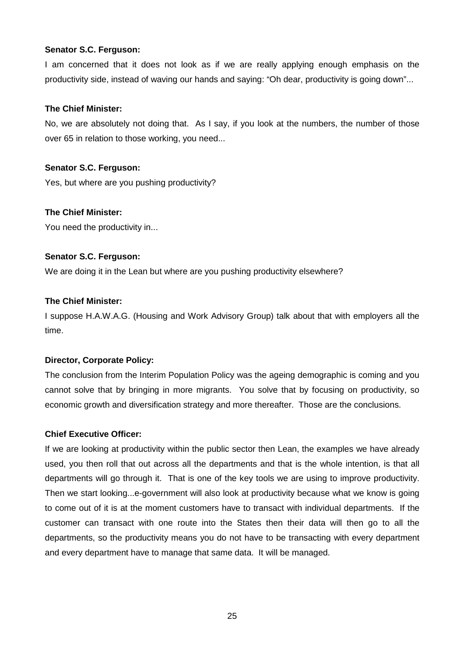I am concerned that it does not look as if we are really applying enough emphasis on the productivity side, instead of waving our hands and saying: "Oh dear, productivity is going down"...

## **The Chief Minister:**

No, we are absolutely not doing that. As I say, if you look at the numbers, the number of those over 65 in relation to those working, you need...

#### **Senator S.C. Ferguson:**

Yes, but where are you pushing productivity?

## **The Chief Minister:**

You need the productivity in...

#### **Senator S.C. Ferguson:**

We are doing it in the Lean but where are you pushing productivity elsewhere?

#### **The Chief Minister:**

I suppose H.A.W.A.G. (Housing and Work Advisory Group) talk about that with employers all the time.

## **Director, Corporate Policy:**

The conclusion from the Interim Population Policy was the ageing demographic is coming and you cannot solve that by bringing in more migrants. You solve that by focusing on productivity, so economic growth and diversification strategy and more thereafter. Those are the conclusions.

#### **Chief Executive Officer:**

If we are looking at productivity within the public sector then Lean, the examples we have already used, you then roll that out across all the departments and that is the whole intention, is that all departments will go through it. That is one of the key tools we are using to improve productivity. Then we start looking...e-government will also look at productivity because what we know is going to come out of it is at the moment customers have to transact with individual departments. If the customer can transact with one route into the States then their data will then go to all the departments, so the productivity means you do not have to be transacting with every department and every department have to manage that same data. It will be managed.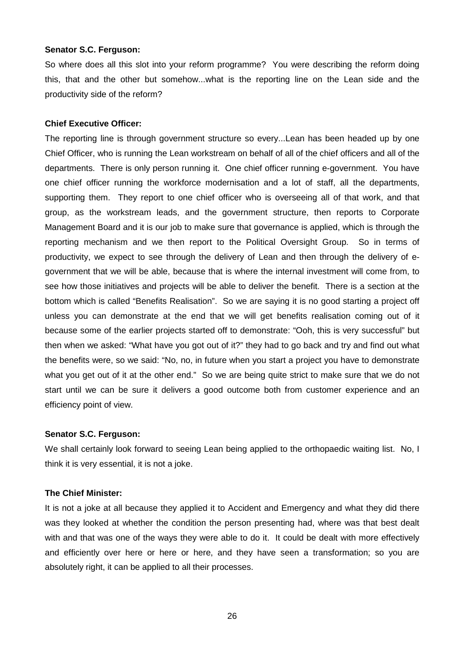So where does all this slot into your reform programme? You were describing the reform doing this, that and the other but somehow...what is the reporting line on the Lean side and the productivity side of the reform?

#### **Chief Executive Officer:**

The reporting line is through government structure so every...Lean has been headed up by one Chief Officer, who is running the Lean workstream on behalf of all of the chief officers and all of the departments. There is only person running it. One chief officer running e-government. You have one chief officer running the workforce modernisation and a lot of staff, all the departments, supporting them. They report to one chief officer who is overseeing all of that work, and that group, as the workstream leads, and the government structure, then reports to Corporate Management Board and it is our job to make sure that governance is applied, which is through the reporting mechanism and we then report to the Political Oversight Group. So in terms of productivity, we expect to see through the delivery of Lean and then through the delivery of egovernment that we will be able, because that is where the internal investment will come from, to see how those initiatives and projects will be able to deliver the benefit. There is a section at the bottom which is called "Benefits Realisation". So we are saying it is no good starting a project off unless you can demonstrate at the end that we will get benefits realisation coming out of it because some of the earlier projects started off to demonstrate: "Ooh, this is very successful" but then when we asked: "What have you got out of it?" they had to go back and try and find out what the benefits were, so we said: "No, no, in future when you start a project you have to demonstrate what you get out of it at the other end." So we are being quite strict to make sure that we do not start until we can be sure it delivers a good outcome both from customer experience and an efficiency point of view.

#### **Senator S.C. Ferguson:**

We shall certainly look forward to seeing Lean being applied to the orthopaedic waiting list. No, I think it is very essential, it is not a joke.

# **The Chief Minister:**

It is not a joke at all because they applied it to Accident and Emergency and what they did there was they looked at whether the condition the person presenting had, where was that best dealt with and that was one of the ways they were able to do it. It could be dealt with more effectively and efficiently over here or here or here, and they have seen a transformation; so you are absolutely right, it can be applied to all their processes.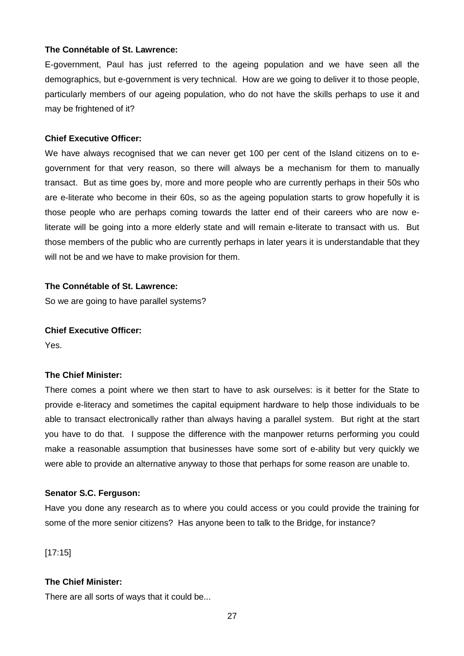#### **The Connétable of St. Lawrence:**

E-government, Paul has just referred to the ageing population and we have seen all the demographics, but e-government is very technical. How are we going to deliver it to those people, particularly members of our ageing population, who do not have the skills perhaps to use it and may be frightened of it?

#### **Chief Executive Officer:**

We have always recognised that we can never get 100 per cent of the Island citizens on to egovernment for that very reason, so there will always be a mechanism for them to manually transact. But as time goes by, more and more people who are currently perhaps in their 50s who are e-literate who become in their 60s, so as the ageing population starts to grow hopefully it is those people who are perhaps coming towards the latter end of their careers who are now eliterate will be going into a more elderly state and will remain e-literate to transact with us. But those members of the public who are currently perhaps in later years it is understandable that they will not be and we have to make provision for them.

# **The Connétable of St. Lawrence:**

So we are going to have parallel systems?

#### **Chief Executive Officer:**

Yes.

## **The Chief Minister:**

There comes a point where we then start to have to ask ourselves: is it better for the State to provide e-literacy and sometimes the capital equipment hardware to help those individuals to be able to transact electronically rather than always having a parallel system. But right at the start you have to do that. I suppose the difference with the manpower returns performing you could make a reasonable assumption that businesses have some sort of e-ability but very quickly we were able to provide an alternative anyway to those that perhaps for some reason are unable to.

#### **Senator S.C. Ferguson:**

Have you done any research as to where you could access or you could provide the training for some of the more senior citizens? Has anyone been to talk to the Bridge, for instance?

[17:15]

## **The Chief Minister:**

There are all sorts of ways that it could be...

27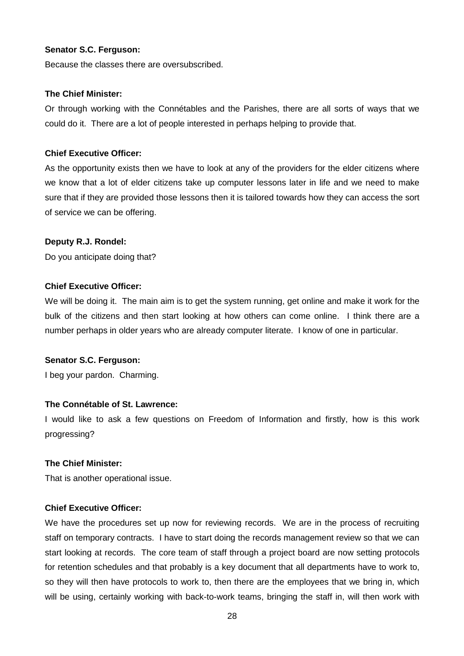Because the classes there are oversubscribed.

#### **The Chief Minister:**

Or through working with the Connétables and the Parishes, there are all sorts of ways that we could do it. There are a lot of people interested in perhaps helping to provide that.

## **Chief Executive Officer:**

As the opportunity exists then we have to look at any of the providers for the elder citizens where we know that a lot of elder citizens take up computer lessons later in life and we need to make sure that if they are provided those lessons then it is tailored towards how they can access the sort of service we can be offering.

## **Deputy R.J. Rondel:**

Do you anticipate doing that?

## **Chief Executive Officer:**

We will be doing it. The main aim is to get the system running, get online and make it work for the bulk of the citizens and then start looking at how others can come online. I think there are a number perhaps in older years who are already computer literate. I know of one in particular.

## **Senator S.C. Ferguson:**

I beg your pardon. Charming.

## **The Connétable of St. Lawrence:**

I would like to ask a few questions on Freedom of Information and firstly, how is this work progressing?

## **The Chief Minister:**

That is another operational issue.

## **Chief Executive Officer:**

We have the procedures set up now for reviewing records. We are in the process of recruiting staff on temporary contracts. I have to start doing the records management review so that we can start looking at records. The core team of staff through a project board are now setting protocols for retention schedules and that probably is a key document that all departments have to work to, so they will then have protocols to work to, then there are the employees that we bring in, which will be using, certainly working with back-to-work teams, bringing the staff in, will then work with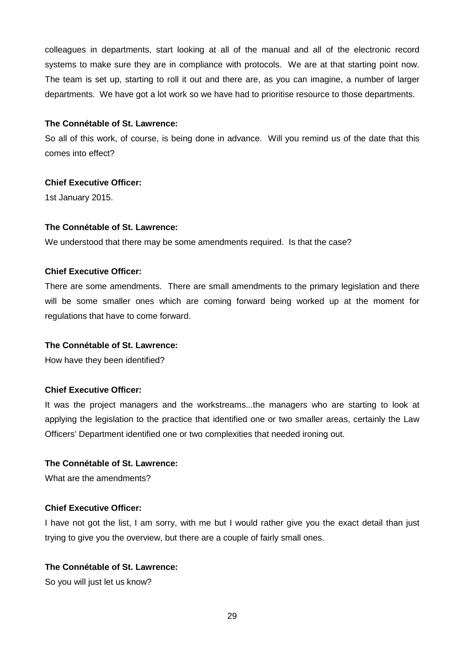colleagues in departments, start looking at all of the manual and all of the electronic record systems to make sure they are in compliance with protocols. We are at that starting point now. The team is set up, starting to roll it out and there are, as you can imagine, a number of larger departments. We have got a lot work so we have had to prioritise resource to those departments.

#### **The Connétable of St. Lawrence:**

So all of this work, of course, is being done in advance. Will you remind us of the date that this comes into effect?

# **Chief Executive Officer:**

1st January 2015.

## **The Connétable of St. Lawrence:**

We understood that there may be some amendments required. Is that the case?

## **Chief Executive Officer:**

There are some amendments. There are small amendments to the primary legislation and there will be some smaller ones which are coming forward being worked up at the moment for regulations that have to come forward.

## **The Connétable of St. Lawrence:**

How have they been identified?

## **Chief Executive Officer:**

It was the project managers and the workstreams...the managers who are starting to look at applying the legislation to the practice that identified one or two smaller areas, certainly the Law Officers' Department identified one or two complexities that needed ironing out.

## **The Connétable of St. Lawrence:**

What are the amendments?

## **Chief Executive Officer:**

I have not got the list, I am sorry, with me but I would rather give you the exact detail than just trying to give you the overview, but there are a couple of fairly small ones.

# **The Connétable of St. Lawrence:**

So you will just let us know?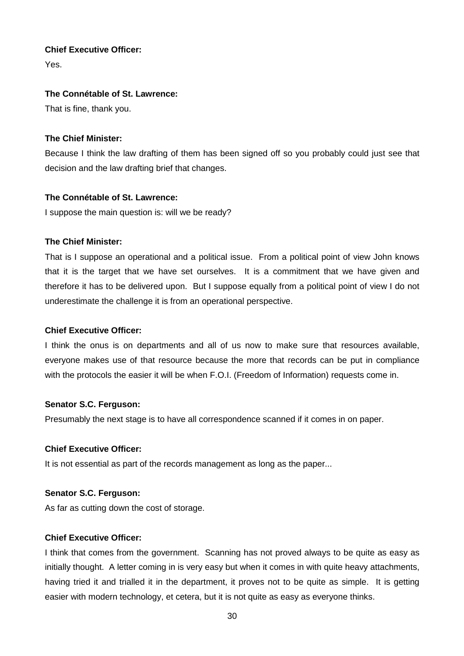# **Chief Executive Officer:**

Yes.

# **The Connétable of St. Lawrence:**

That is fine, thank you.

# **The Chief Minister:**

Because I think the law drafting of them has been signed off so you probably could just see that decision and the law drafting brief that changes.

# **The Connétable of St. Lawrence:**

I suppose the main question is: will we be ready?

# **The Chief Minister:**

That is I suppose an operational and a political issue. From a political point of view John knows that it is the target that we have set ourselves. It is a commitment that we have given and therefore it has to be delivered upon. But I suppose equally from a political point of view I do not underestimate the challenge it is from an operational perspective.

## **Chief Executive Officer:**

I think the onus is on departments and all of us now to make sure that resources available, everyone makes use of that resource because the more that records can be put in compliance with the protocols the easier it will be when F.O.I. (Freedom of Information) requests come in.

## **Senator S.C. Ferguson:**

Presumably the next stage is to have all correspondence scanned if it comes in on paper.

## **Chief Executive Officer:**

It is not essential as part of the records management as long as the paper...

## **Senator S.C. Ferguson:**

As far as cutting down the cost of storage.

## **Chief Executive Officer:**

I think that comes from the government. Scanning has not proved always to be quite as easy as initially thought. A letter coming in is very easy but when it comes in with quite heavy attachments, having tried it and trialled it in the department, it proves not to be quite as simple. It is getting easier with modern technology, et cetera, but it is not quite as easy as everyone thinks.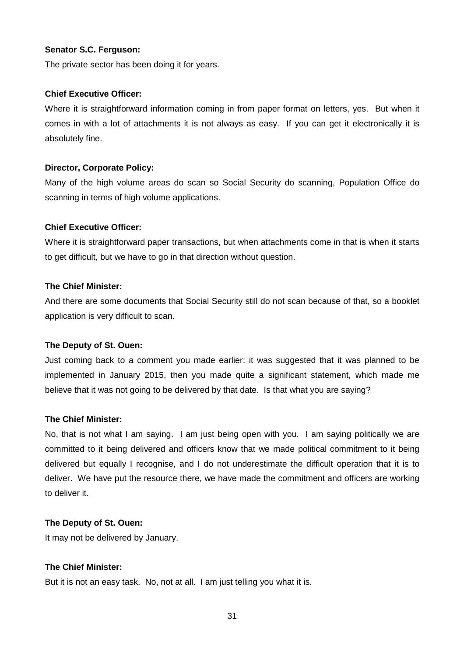The private sector has been doing it for years.

#### **Chief Executive Officer:**

Where it is straightforward information coming in from paper format on letters, yes. But when it comes in with a lot of attachments it is not always as easy. If you can get it electronically it is absolutely fine.

#### **Director, Corporate Policy:**

Many of the high volume areas do scan so Social Security do scanning, Population Office do scanning in terms of high volume applications.

#### **Chief Executive Officer:**

Where it is straightforward paper transactions, but when attachments come in that is when it starts to get difficult, but we have to go in that direction without question.

## **The Chief Minister:**

And there are some documents that Social Security still do not scan because of that, so a booklet application is very difficult to scan.

## **The Deputy of St. Ouen:**

Just coming back to a comment you made earlier: it was suggested that it was planned to be implemented in January 2015, then you made quite a significant statement, which made me believe that it was not going to be delivered by that date. Is that what you are saying?

#### **The Chief Minister:**

No, that is not what I am saying. I am just being open with you. I am saying politically we are committed to it being delivered and officers know that we made political commitment to it being delivered but equally I recognise, and I do not underestimate the difficult operation that it is to deliver. We have put the resource there, we have made the commitment and officers are working to deliver it.

## **The Deputy of St. Ouen:**

It may not be delivered by January.

## **The Chief Minister:**

But it is not an easy task. No, not at all. I am just telling you what it is.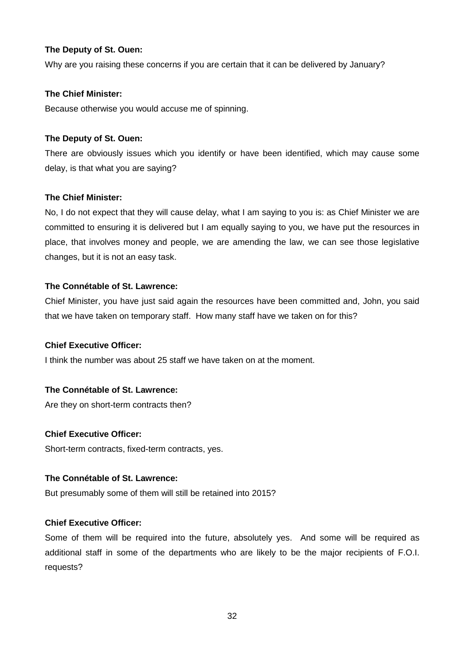# **The Deputy of St. Ouen:**

Why are you raising these concerns if you are certain that it can be delivered by January?

## **The Chief Minister:**

Because otherwise you would accuse me of spinning.

# **The Deputy of St. Ouen:**

There are obviously issues which you identify or have been identified, which may cause some delay, is that what you are saying?

# **The Chief Minister:**

No, I do not expect that they will cause delay, what I am saying to you is: as Chief Minister we are committed to ensuring it is delivered but I am equally saying to you, we have put the resources in place, that involves money and people, we are amending the law, we can see those legislative changes, but it is not an easy task.

# **The Connétable of St. Lawrence:**

Chief Minister, you have just said again the resources have been committed and, John, you said that we have taken on temporary staff. How many staff have we taken on for this?

## **Chief Executive Officer:**

I think the number was about 25 staff we have taken on at the moment.

# **The Connétable of St. Lawrence:**

Are they on short-term contracts then?

# **Chief Executive Officer:**

Short-term contracts, fixed-term contracts, yes.

## **The Connétable of St. Lawrence:**

But presumably some of them will still be retained into 2015?

# **Chief Executive Officer:**

Some of them will be required into the future, absolutely yes. And some will be required as additional staff in some of the departments who are likely to be the major recipients of F.O.I. requests?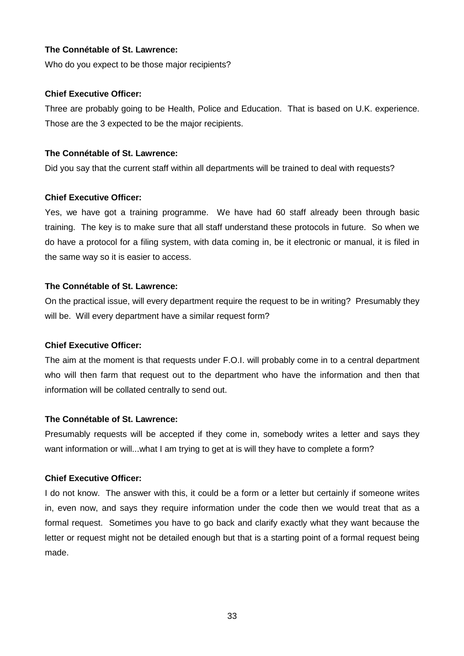## **The Connétable of St. Lawrence:**

Who do you expect to be those major recipients?

## **Chief Executive Officer:**

Three are probably going to be Health, Police and Education. That is based on U.K. experience. Those are the 3 expected to be the major recipients.

# **The Connétable of St. Lawrence:**

Did you say that the current staff within all departments will be trained to deal with requests?

# **Chief Executive Officer:**

Yes, we have got a training programme. We have had 60 staff already been through basic training. The key is to make sure that all staff understand these protocols in future. So when we do have a protocol for a filing system, with data coming in, be it electronic or manual, it is filed in the same way so it is easier to access.

# **The Connétable of St. Lawrence:**

On the practical issue, will every department require the request to be in writing? Presumably they will be. Will every department have a similar request form?

## **Chief Executive Officer:**

The aim at the moment is that requests under F.O.I. will probably come in to a central department who will then farm that request out to the department who have the information and then that information will be collated centrally to send out.

# **The Connétable of St. Lawrence:**

Presumably requests will be accepted if they come in, somebody writes a letter and says they want information or will...what I am trying to get at is will they have to complete a form?

## **Chief Executive Officer:**

I do not know. The answer with this, it could be a form or a letter but certainly if someone writes in, even now, and says they require information under the code then we would treat that as a formal request. Sometimes you have to go back and clarify exactly what they want because the letter or request might not be detailed enough but that is a starting point of a formal request being made.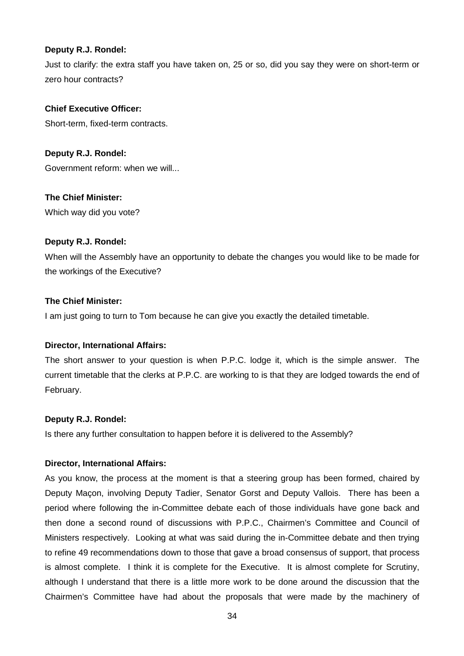## **Deputy R.J. Rondel:**

Just to clarify: the extra staff you have taken on, 25 or so, did you say they were on short-term or zero hour contracts?

## **Chief Executive Officer:**

Short-term, fixed-term contracts.

**Deputy R.J. Rondel:** Government reform: when we will...

**The Chief Minister:**

Which way did you vote?

# **Deputy R.J. Rondel:**

When will the Assembly have an opportunity to debate the changes you would like to be made for the workings of the Executive?

## **The Chief Minister:**

I am just going to turn to Tom because he can give you exactly the detailed timetable.

## **Director, International Affairs:**

The short answer to your question is when P.P.C. lodge it, which is the simple answer. The current timetable that the clerks at P.P.C. are working to is that they are lodged towards the end of February.

## **Deputy R.J. Rondel:**

Is there any further consultation to happen before it is delivered to the Assembly?

## **Director, International Affairs:**

As you know, the process at the moment is that a steering group has been formed, chaired by Deputy Maçon, involving Deputy Tadier, Senator Gorst and Deputy Vallois. There has been a period where following the in-Committee debate each of those individuals have gone back and then done a second round of discussions with P.P.C., Chairmen's Committee and Council of Ministers respectively. Looking at what was said during the in-Committee debate and then trying to refine 49 recommendations down to those that gave a broad consensus of support, that process is almost complete. I think it is complete for the Executive. It is almost complete for Scrutiny, although I understand that there is a little more work to be done around the discussion that the Chairmen's Committee have had about the proposals that were made by the machinery of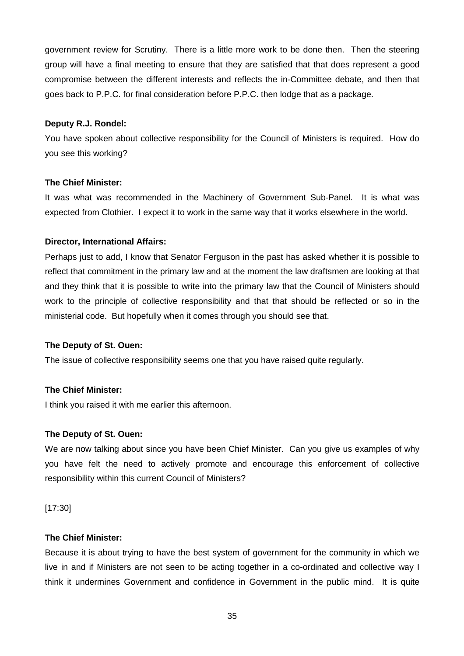government review for Scrutiny. There is a little more work to be done then. Then the steering group will have a final meeting to ensure that they are satisfied that that does represent a good compromise between the different interests and reflects the in-Committee debate, and then that goes back to P.P.C. for final consideration before P.P.C. then lodge that as a package.

## **Deputy R.J. Rondel:**

You have spoken about collective responsibility for the Council of Ministers is required. How do you see this working?

## **The Chief Minister:**

It was what was recommended in the Machinery of Government Sub-Panel. It is what was expected from Clothier. I expect it to work in the same way that it works elsewhere in the world.

## **Director, International Affairs:**

Perhaps just to add, I know that Senator Ferguson in the past has asked whether it is possible to reflect that commitment in the primary law and at the moment the law draftsmen are looking at that and they think that it is possible to write into the primary law that the Council of Ministers should work to the principle of collective responsibility and that that should be reflected or so in the ministerial code. But hopefully when it comes through you should see that.

## **The Deputy of St. Ouen:**

The issue of collective responsibility seems one that you have raised quite regularly.

## **The Chief Minister:**

I think you raised it with me earlier this afternoon.

## **The Deputy of St. Ouen:**

We are now talking about since you have been Chief Minister. Can you give us examples of why you have felt the need to actively promote and encourage this enforcement of collective responsibility within this current Council of Ministers?

[17:30]

## **The Chief Minister:**

Because it is about trying to have the best system of government for the community in which we live in and if Ministers are not seen to be acting together in a co-ordinated and collective way I think it undermines Government and confidence in Government in the public mind. It is quite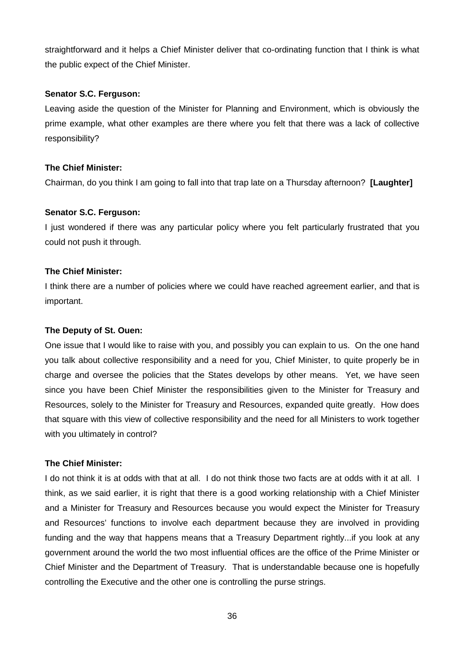straightforward and it helps a Chief Minister deliver that co-ordinating function that I think is what the public expect of the Chief Minister.

## **Senator S.C. Ferguson:**

Leaving aside the question of the Minister for Planning and Environment, which is obviously the prime example, what other examples are there where you felt that there was a lack of collective responsibility?

## **The Chief Minister:**

Chairman, do you think I am going to fall into that trap late on a Thursday afternoon? **[Laughter]** 

## **Senator S.C. Ferguson:**

I just wondered if there was any particular policy where you felt particularly frustrated that you could not push it through.

#### **The Chief Minister:**

I think there are a number of policies where we could have reached agreement earlier, and that is important.

#### **The Deputy of St. Ouen:**

One issue that I would like to raise with you, and possibly you can explain to us. On the one hand you talk about collective responsibility and a need for you, Chief Minister, to quite properly be in charge and oversee the policies that the States develops by other means. Yet, we have seen since you have been Chief Minister the responsibilities given to the Minister for Treasury and Resources, solely to the Minister for Treasury and Resources, expanded quite greatly. How does that square with this view of collective responsibility and the need for all Ministers to work together with you ultimately in control?

#### **The Chief Minister:**

I do not think it is at odds with that at all. I do not think those two facts are at odds with it at all. I think, as we said earlier, it is right that there is a good working relationship with a Chief Minister and a Minister for Treasury and Resources because you would expect the Minister for Treasury and Resources' functions to involve each department because they are involved in providing funding and the way that happens means that a Treasury Department rightly...if you look at any government around the world the two most influential offices are the office of the Prime Minister or Chief Minister and the Department of Treasury. That is understandable because one is hopefully controlling the Executive and the other one is controlling the purse strings.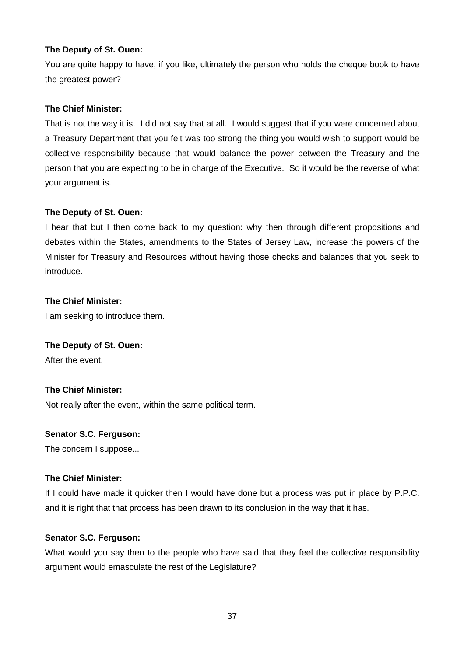# **The Deputy of St. Ouen:**

You are quite happy to have, if you like, ultimately the person who holds the cheque book to have the greatest power?

# **The Chief Minister:**

That is not the way it is. I did not say that at all. I would suggest that if you were concerned about a Treasury Department that you felt was too strong the thing you would wish to support would be collective responsibility because that would balance the power between the Treasury and the person that you are expecting to be in charge of the Executive. So it would be the reverse of what your argument is.

# **The Deputy of St. Ouen:**

I hear that but I then come back to my question: why then through different propositions and debates within the States, amendments to the States of Jersey Law, increase the powers of the Minister for Treasury and Resources without having those checks and balances that you seek to introduce.

# **The Chief Minister:**

I am seeking to introduce them.

## **The Deputy of St. Ouen:**

After the event.

# **The Chief Minister:**

Not really after the event, within the same political term.

## **Senator S.C. Ferguson:**

The concern I suppose...

## **The Chief Minister:**

If I could have made it quicker then I would have done but a process was put in place by P.P.C. and it is right that that process has been drawn to its conclusion in the way that it has.

## **Senator S.C. Ferguson:**

What would you say then to the people who have said that they feel the collective responsibility argument would emasculate the rest of the Legislature?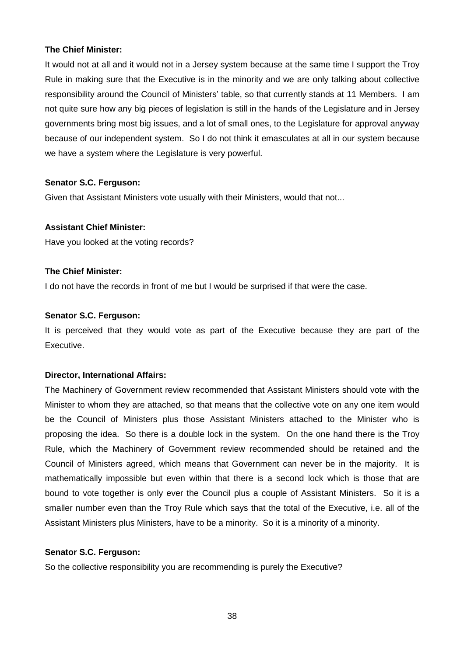It would not at all and it would not in a Jersey system because at the same time I support the Troy Rule in making sure that the Executive is in the minority and we are only talking about collective responsibility around the Council of Ministers' table, so that currently stands at 11 Members. I am not quite sure how any big pieces of legislation is still in the hands of the Legislature and in Jersey governments bring most big issues, and a lot of small ones, to the Legislature for approval anyway because of our independent system. So I do not think it emasculates at all in our system because we have a system where the Legislature is very powerful.

# **Senator S.C. Ferguson:**

Given that Assistant Ministers vote usually with their Ministers, would that not...

# **Assistant Chief Minister:**

Have you looked at the voting records?

## **The Chief Minister:**

I do not have the records in front of me but I would be surprised if that were the case.

## **Senator S.C. Ferguson:**

It is perceived that they would vote as part of the Executive because they are part of the Executive.

## **Director, International Affairs:**

The Machinery of Government review recommended that Assistant Ministers should vote with the Minister to whom they are attached, so that means that the collective vote on any one item would be the Council of Ministers plus those Assistant Ministers attached to the Minister who is proposing the idea. So there is a double lock in the system. On the one hand there is the Troy Rule, which the Machinery of Government review recommended should be retained and the Council of Ministers agreed, which means that Government can never be in the majority. It is mathematically impossible but even within that there is a second lock which is those that are bound to vote together is only ever the Council plus a couple of Assistant Ministers. So it is a smaller number even than the Troy Rule which says that the total of the Executive, i.e. all of the Assistant Ministers plus Ministers, have to be a minority. So it is a minority of a minority.

## **Senator S.C. Ferguson:**

So the collective responsibility you are recommending is purely the Executive?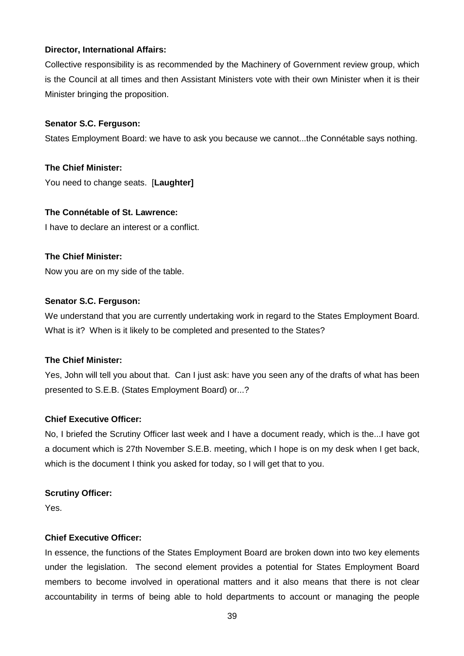# **Director, International Affairs:**

Collective responsibility is as recommended by the Machinery of Government review group, which is the Council at all times and then Assistant Ministers vote with their own Minister when it is their Minister bringing the proposition.

## **Senator S.C. Ferguson:**

States Employment Board: we have to ask you because we cannot...the Connétable says nothing.

**The Chief Minister:** You need to change seats. [**Laughter]** 

## **The Connétable of St. Lawrence:**

I have to declare an interest or a conflict.

## **The Chief Minister:**

Now you are on my side of the table.

## **Senator S.C. Ferguson:**

We understand that you are currently undertaking work in regard to the States Employment Board. What is it? When is it likely to be completed and presented to the States?

## **The Chief Minister:**

Yes, John will tell you about that. Can I just ask: have you seen any of the drafts of what has been presented to S.E.B. (States Employment Board) or...?

## **Chief Executive Officer:**

No, I briefed the Scrutiny Officer last week and I have a document ready, which is the...I have got a document which is 27th November S.E.B. meeting, which I hope is on my desk when I get back, which is the document I think you asked for today, so I will get that to you.

## **Scrutiny Officer:**

Yes.

## **Chief Executive Officer:**

In essence, the functions of the States Employment Board are broken down into two key elements under the legislation. The second element provides a potential for States Employment Board members to become involved in operational matters and it also means that there is not clear accountability in terms of being able to hold departments to account or managing the people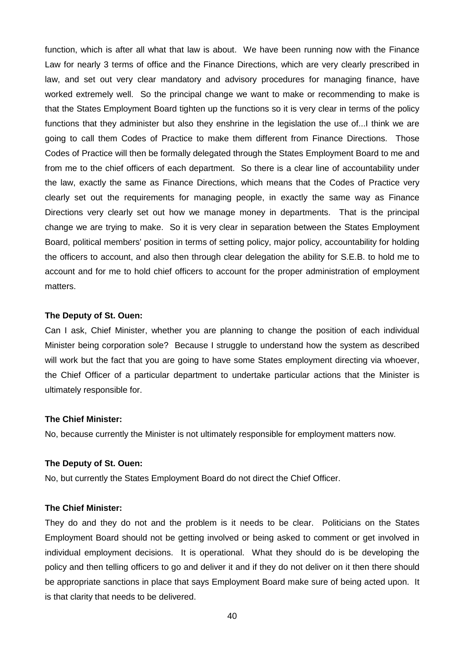function, which is after all what that law is about. We have been running now with the Finance Law for nearly 3 terms of office and the Finance Directions, which are very clearly prescribed in law, and set out very clear mandatory and advisory procedures for managing finance, have worked extremely well. So the principal change we want to make or recommending to make is that the States Employment Board tighten up the functions so it is very clear in terms of the policy functions that they administer but also they enshrine in the legislation the use of...I think we are going to call them Codes of Practice to make them different from Finance Directions. Those Codes of Practice will then be formally delegated through the States Employment Board to me and from me to the chief officers of each department. So there is a clear line of accountability under the law, exactly the same as Finance Directions, which means that the Codes of Practice very clearly set out the requirements for managing people, in exactly the same way as Finance Directions very clearly set out how we manage money in departments. That is the principal change we are trying to make. So it is very clear in separation between the States Employment Board, political members' position in terms of setting policy, major policy, accountability for holding the officers to account, and also then through clear delegation the ability for S.E.B. to hold me to account and for me to hold chief officers to account for the proper administration of employment matters.

#### **The Deputy of St. Ouen:**

Can I ask, Chief Minister, whether you are planning to change the position of each individual Minister being corporation sole? Because I struggle to understand how the system as described will work but the fact that you are going to have some States employment directing via whoever, the Chief Officer of a particular department to undertake particular actions that the Minister is ultimately responsible for.

#### **The Chief Minister:**

No, because currently the Minister is not ultimately responsible for employment matters now.

#### **The Deputy of St. Ouen:**

No, but currently the States Employment Board do not direct the Chief Officer.

## **The Chief Minister:**

They do and they do not and the problem is it needs to be clear. Politicians on the States Employment Board should not be getting involved or being asked to comment or get involved in individual employment decisions. It is operational. What they should do is be developing the policy and then telling officers to go and deliver it and if they do not deliver on it then there should be appropriate sanctions in place that says Employment Board make sure of being acted upon. It is that clarity that needs to be delivered.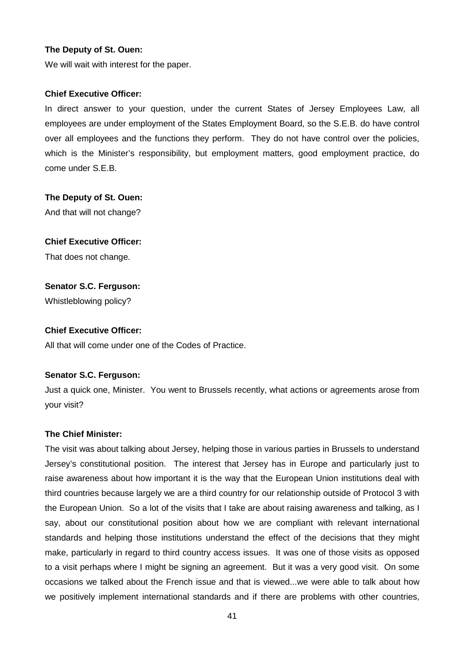#### **The Deputy of St. Ouen:**

We will wait with interest for the paper.

#### **Chief Executive Officer:**

In direct answer to your question, under the current States of Jersey Employees Law, all employees are under employment of the States Employment Board, so the S.E.B. do have control over all employees and the functions they perform. They do not have control over the policies, which is the Minister's responsibility, but employment matters, good employment practice, do come under S.E.B.

#### **The Deputy of St. Ouen:**

And that will not change?

## **Chief Executive Officer:**

That does not change.

## **Senator S.C. Ferguson:**

Whistleblowing policy?

## **Chief Executive Officer:**

All that will come under one of the Codes of Practice.

## **Senator S.C. Ferguson:**

Just a quick one, Minister. You went to Brussels recently, what actions or agreements arose from your visit?

## **The Chief Minister:**

The visit was about talking about Jersey, helping those in various parties in Brussels to understand Jersey's constitutional position. The interest that Jersey has in Europe and particularly just to raise awareness about how important it is the way that the European Union institutions deal with third countries because largely we are a third country for our relationship outside of Protocol 3 with the European Union. So a lot of the visits that I take are about raising awareness and talking, as I say, about our constitutional position about how we are compliant with relevant international standards and helping those institutions understand the effect of the decisions that they might make, particularly in regard to third country access issues. It was one of those visits as opposed to a visit perhaps where I might be signing an agreement. But it was a very good visit. On some occasions we talked about the French issue and that is viewed...we were able to talk about how we positively implement international standards and if there are problems with other countries,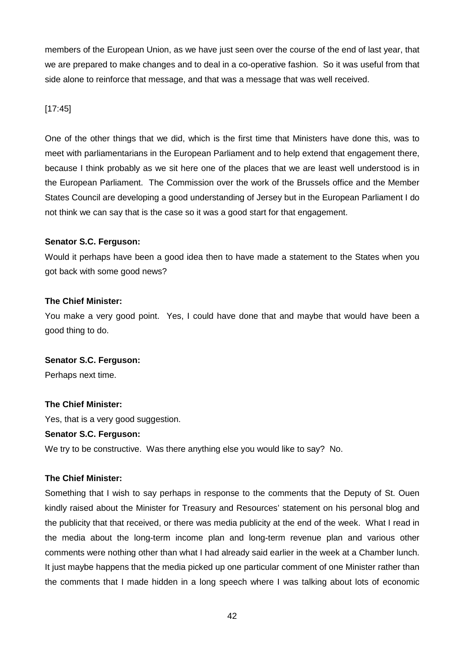members of the European Union, as we have just seen over the course of the end of last year, that we are prepared to make changes and to deal in a co-operative fashion. So it was useful from that side alone to reinforce that message, and that was a message that was well received.

# [17:45]

One of the other things that we did, which is the first time that Ministers have done this, was to meet with parliamentarians in the European Parliament and to help extend that engagement there, because I think probably as we sit here one of the places that we are least well understood is in the European Parliament. The Commission over the work of the Brussels office and the Member States Council are developing a good understanding of Jersey but in the European Parliament I do not think we can say that is the case so it was a good start for that engagement.

# **Senator S.C. Ferguson:**

Would it perhaps have been a good idea then to have made a statement to the States when you got back with some good news?

# **The Chief Minister:**

You make a very good point. Yes, I could have done that and maybe that would have been a good thing to do.

# **Senator S.C. Ferguson:**

Perhaps next time.

# **The Chief Minister:**

Yes, that is a very good suggestion.

## **Senator S.C. Ferguson:**

We try to be constructive. Was there anything else you would like to say? No.

## **The Chief Minister:**

Something that I wish to say perhaps in response to the comments that the Deputy of St. Ouen kindly raised about the Minister for Treasury and Resources' statement on his personal blog and the publicity that that received, or there was media publicity at the end of the week. What I read in the media about the long-term income plan and long-term revenue plan and various other comments were nothing other than what I had already said earlier in the week at a Chamber lunch. It just maybe happens that the media picked up one particular comment of one Minister rather than the comments that I made hidden in a long speech where I was talking about lots of economic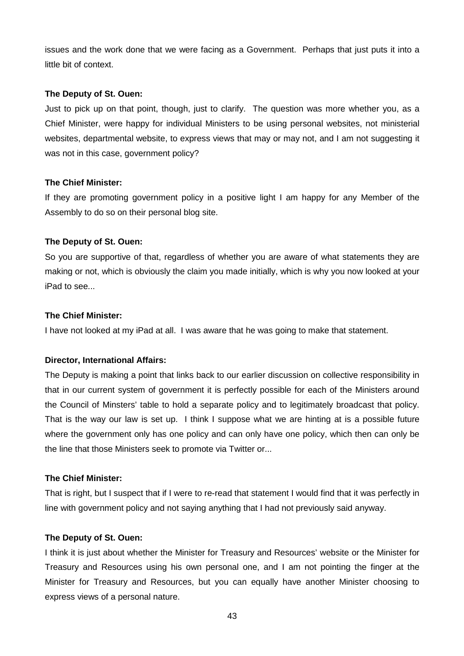issues and the work done that we were facing as a Government. Perhaps that just puts it into a little bit of context.

## **The Deputy of St. Ouen:**

Just to pick up on that point, though, just to clarify. The question was more whether you, as a Chief Minister, were happy for individual Ministers to be using personal websites, not ministerial websites, departmental website, to express views that may or may not, and I am not suggesting it was not in this case, government policy?

# **The Chief Minister:**

If they are promoting government policy in a positive light I am happy for any Member of the Assembly to do so on their personal blog site.

# **The Deputy of St. Ouen:**

So you are supportive of that, regardless of whether you are aware of what statements they are making or not, which is obviously the claim you made initially, which is why you now looked at your iPad to see...

# **The Chief Minister:**

I have not looked at my iPad at all. I was aware that he was going to make that statement.

# **Director, International Affairs:**

The Deputy is making a point that links back to our earlier discussion on collective responsibility in that in our current system of government it is perfectly possible for each of the Ministers around the Council of Minsters' table to hold a separate policy and to legitimately broadcast that policy. That is the way our law is set up. I think I suppose what we are hinting at is a possible future where the government only has one policy and can only have one policy, which then can only be the line that those Ministers seek to promote via Twitter or...

# **The Chief Minister:**

That is right, but I suspect that if I were to re-read that statement I would find that it was perfectly in line with government policy and not saying anything that I had not previously said anyway.

## **The Deputy of St. Ouen:**

I think it is just about whether the Minister for Treasury and Resources' website or the Minister for Treasury and Resources using his own personal one, and I am not pointing the finger at the Minister for Treasury and Resources, but you can equally have another Minister choosing to express views of a personal nature.